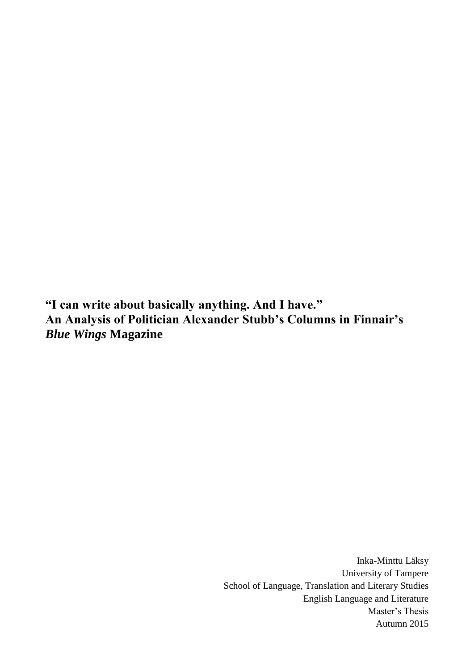**"I can write about basically anything. And I have." An Analysis of Politician Alexander Stubb's Columns in Finnair's**  *Blue Wings* **Magazine**

> Inka-Minttu Läksy University of Tampere School of Language, Translation and Literary Studies English Language and Literature Master's Thesis Autumn 2015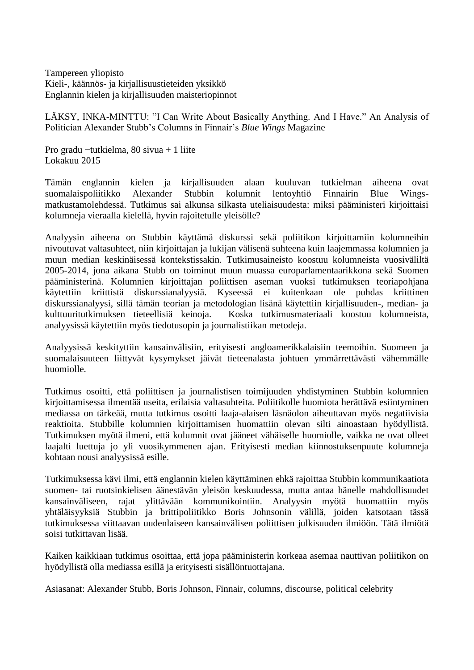Tampereen yliopisto Kieli-, käännös- ja kirjallisuustieteiden yksikkö Englannin kielen ja kirjallisuuden maisteriopinnot

LÄKSY, INKA-MINTTU: "I Can Write About Basically Anything. And I Have." An Analysis of Politician Alexander Stubb's Columns in Finnair's *Blue Wings* Magazine

Pro gradu −tutkielma, 80 sivua + 1 liite Lokakuu 2015

Tämän englannin kielen ja kirjallisuuden alaan kuuluvan tutkielman aiheena ovat suomalaispoliitikko Alexander Stubbin kolumnit lentoyhtiö Finnairin Blue Wingsmatkustamolehdessä. Tutkimus sai alkunsa silkasta uteliaisuudesta: miksi pääministeri kirjoittaisi kolumneja vieraalla kielellä, hyvin rajoitetulle yleisölle?

Analyysin aiheena on Stubbin käyttämä diskurssi sekä poliitikon kirjoittamiin kolumneihin nivoutuvat valtasuhteet, niin kirjoittajan ja lukijan välisenä suhteena kuin laajemmassa kolumnien ja muun median keskinäisessä kontekstissakin. Tutkimusaineisto koostuu kolumneista vuosiväliltä 2005-2014, jona aikana Stubb on toiminut muun muassa europarlamentaarikkona sekä Suomen pääministerinä. Kolumnien kirjoittajan poliittisen aseman vuoksi tutkimuksen teoriapohjana käytettiin kriittistä diskurssianalyysiä. Kyseessä ei kuitenkaan ole puhdas kriittinen diskurssianalyysi, sillä tämän teorian ja metodologian lisänä käytettiin kirjallisuuden-, median- ja kulttuuritutkimuksen tieteellisiä keinoja. Koska tutkimusmateriaali koostuu kolumneista, analyysissä käytettiin myös tiedotusopin ja journalistiikan metodeja.

Analyysissä keskityttiin kansainvälisiin, erityisesti angloamerikkalaisiin teemoihin. Suomeen ja suomalaisuuteen liittyvät kysymykset jäivät tieteenalasta johtuen ymmärrettävästi vähemmälle huomiolle.

Tutkimus osoitti, että poliittisen ja journalistisen toimijuuden yhdistyminen Stubbin kolumnien kirjoittamisessa ilmentää useita, erilaisia valtasuhteita. Poliitikolle huomiota herättävä esiintyminen mediassa on tärkeää, mutta tutkimus osoitti laaja-alaisen läsnäolon aiheuttavan myös negatiivisia reaktioita. Stubbille kolumnien kirjoittamisen huomattiin olevan silti ainoastaan hyödyllistä. Tutkimuksen myötä ilmeni, että kolumnit ovat jääneet vähäiselle huomiolle, vaikka ne ovat olleet laajalti luettuja jo yli vuosikymmenen ajan. Erityisesti median kiinnostuksenpuute kolumneja kohtaan nousi analyysissä esille.

Tutkimuksessa kävi ilmi, että englannin kielen käyttäminen ehkä rajoittaa Stubbin kommunikaatiota suomen- tai ruotsinkielisen äänestävän yleisön keskuudessa, mutta antaa hänelle mahdollisuudet kansainväliseen, rajat ylittävään kommunikointiin. Analyysin myötä huomattiin myös yhtäläisyyksiä Stubbin ja brittipoliitikko Boris Johnsonin välillä, joiden katsotaan tässä tutkimuksessa viittaavan uudenlaiseen kansainvälisen poliittisen julkisuuden ilmiöön. Tätä ilmiötä soisi tutkittavan lisää.

Kaiken kaikkiaan tutkimus osoittaa, että jopa pääministerin korkeaa asemaa nauttivan poliitikon on hyödyllistä olla mediassa esillä ja erityisesti sisällöntuottajana.

Asiasanat: Alexander Stubb, Boris Johnson, Finnair, columns, discourse, political celebrity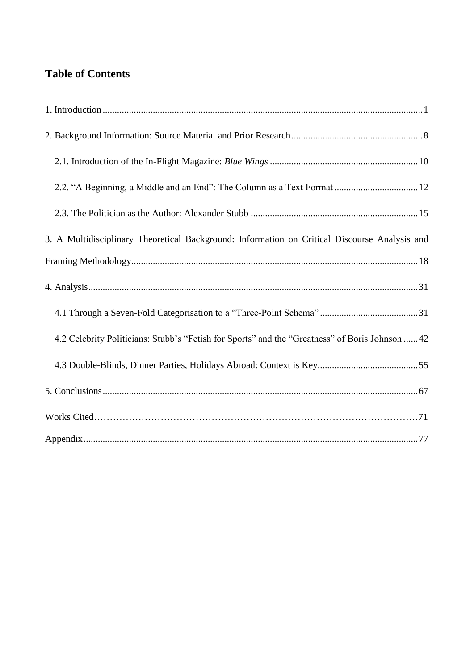# **Table of Contents**

| 2.2. "A Beginning, a Middle and an End": The Column as a Text Format  12                        |
|-------------------------------------------------------------------------------------------------|
|                                                                                                 |
| 3. A Multidisciplinary Theoretical Background: Information on Critical Discourse Analysis and   |
|                                                                                                 |
|                                                                                                 |
|                                                                                                 |
| 4.2 Celebrity Politicians: Stubb's "Fetish for Sports" and the "Greatness" of Boris Johnson  42 |
|                                                                                                 |
|                                                                                                 |
|                                                                                                 |
|                                                                                                 |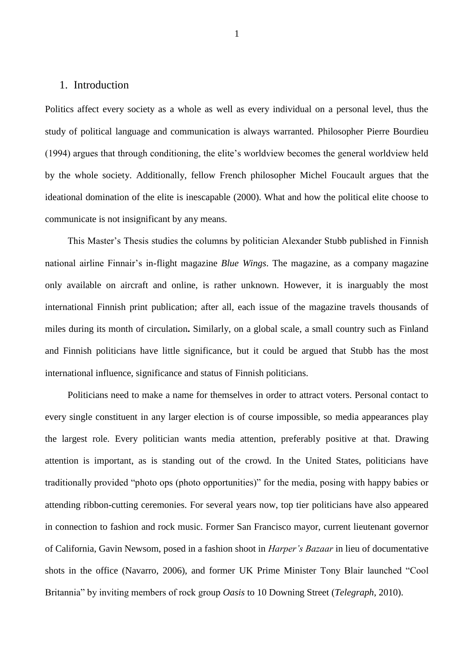## <span id="page-3-0"></span>1. Introduction

Politics affect every society as a whole as well as every individual on a personal level, thus the study of political language and communication is always warranted. Philosopher Pierre Bourdieu (1994) argues that through conditioning, the elite's worldview becomes the general worldview held by the whole society. Additionally, fellow French philosopher Michel Foucault argues that the ideational domination of the elite is inescapable (2000). What and how the political elite choose to communicate is not insignificant by any means.

This Master's Thesis studies the columns by politician Alexander Stubb published in Finnish national airline Finnair's in-flight magazine *Blue Wings*. The magazine, as a company magazine only available on aircraft and online, is rather unknown. However, it is inarguably the most international Finnish print publication; after all, each issue of the magazine travels thousands of miles during its month of circulation**.** Similarly, on a global scale, a small country such as Finland and Finnish politicians have little significance, but it could be argued that Stubb has the most international influence, significance and status of Finnish politicians.

Politicians need to make a name for themselves in order to attract voters. Personal contact to every single constituent in any larger election is of course impossible, so media appearances play the largest role. Every politician wants media attention, preferably positive at that. Drawing attention is important, as is standing out of the crowd. In the United States, politicians have traditionally provided "photo ops (photo opportunities)" for the media, posing with happy babies or attending ribbon-cutting ceremonies. For several years now, top tier politicians have also appeared in connection to fashion and rock music. Former San Francisco mayor, current lieutenant governor of California, Gavin Newsom, posed in a fashion shoot in *Harper's Bazaar* in lieu of documentative shots in the office (Navarro, 2006), and former UK Prime Minister Tony Blair launched "Cool Britannia" by inviting members of rock group *Oasis* to 10 Downing Street (*Telegraph*, 2010).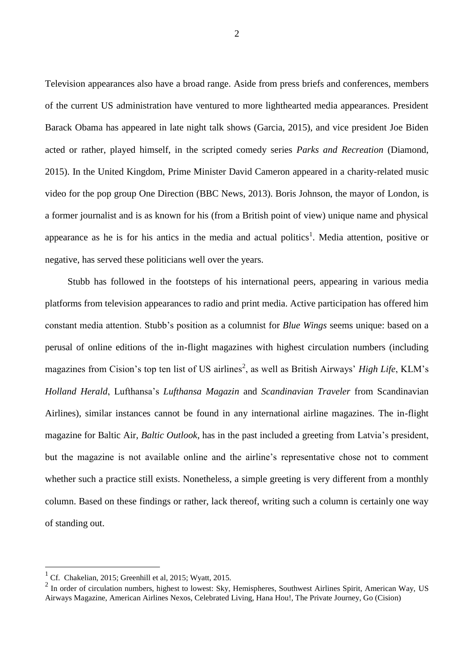Television appearances also have a broad range. Aside from press briefs and conferences, members of the current US administration have ventured to more lighthearted media appearances. President Barack Obama has appeared in late night talk shows (Garcia, 2015), and vice president Joe Biden acted or rather, played himself, in the scripted comedy series *Parks and Recreation* (Diamond, 2015). In the United Kingdom, Prime Minister David Cameron appeared in a charity-related music video for the pop group One Direction (BBC News, 2013). Boris Johnson, the mayor of London, is a former journalist and is as known for his (from a British point of view) unique name and physical appearance as he is for his antics in the media and actual politics<sup>1</sup>. Media attention, positive or negative, has served these politicians well over the years.

Stubb has followed in the footsteps of his international peers, appearing in various media platforms from television appearances to radio and print media. Active participation has offered him constant media attention. Stubb's position as a columnist for *Blue Wings* seems unique: based on a perusal of online editions of the in-flight magazines with highest circulation numbers (including magazines from Cision's top ten list of US airlines<sup>2</sup>, as well as British Airways' *High Life*, KLM's *Holland Herald*, Lufthansa's *Lufthansa Magazin* and *Scandinavian Traveler* from Scandinavian Airlines), similar instances cannot be found in any international airline magazines. The in-flight magazine for Baltic Air, *Baltic Outlook*, has in the past included a greeting from Latvia's president, but the magazine is not available online and the airline's representative chose not to comment whether such a practice still exists. Nonetheless, a simple greeting is very different from a monthly column. Based on these findings or rather, lack thereof, writing such a column is certainly one way of standing out.

1

2

<sup>1</sup> Cf. Chakelian, 2015; Greenhill et al, 2015; Wyatt, 2015.

<sup>&</sup>lt;sup>2</sup> In order of circulation numbers, highest to lowest: Sky, Hemispheres, Southwest Airlines Spirit, American Way, US Airways Magazine, American Airlines Nexos, Celebrated Living, Hana Hou!, The Private Journey, Go (Cision)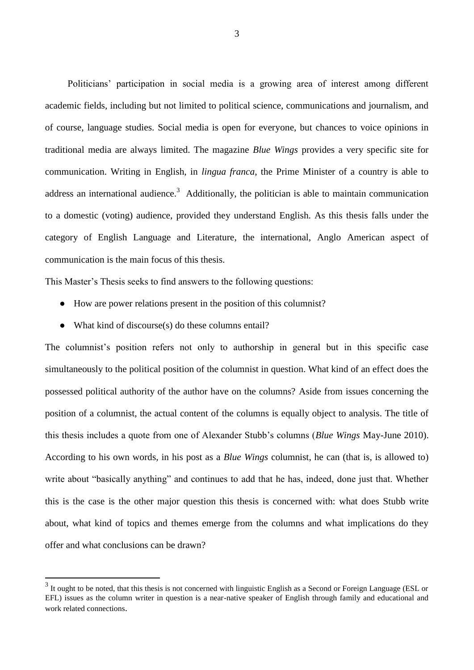Politicians' participation in social media is a growing area of interest among different academic fields, including but not limited to political science, communications and journalism, and of course, language studies. Social media is open for everyone, but chances to voice opinions in traditional media are always limited. The magazine *Blue Wings* provides a very specific site for communication. Writing in English, in *lingua franca*, the Prime Minister of a country is able to address an international audience.<sup>3</sup> Additionally, the politician is able to maintain communication to a domestic (voting) audience, provided they understand English. As this thesis falls under the category of English Language and Literature, the international, Anglo American aspect of communication is the main focus of this thesis.

This Master's Thesis seeks to find answers to the following questions:

- How are power relations present in the position of this columnist?
- What kind of discourse(s) do these columns entail?

1

The columnist's position refers not only to authorship in general but in this specific case simultaneously to the political position of the columnist in question. What kind of an effect does the possessed political authority of the author have on the columns? Aside from issues concerning the position of a columnist, the actual content of the columns is equally object to analysis. The title of this thesis includes a quote from one of Alexander Stubb's columns (*Blue Wings* May-June 2010). According to his own words, in his post as a *Blue Wings* columnist, he can (that is, is allowed to) write about "basically anything" and continues to add that he has, indeed, done just that. Whether this is the case is the other major question this thesis is concerned with: what does Stubb write about, what kind of topics and themes emerge from the columns and what implications do they offer and what conclusions can be drawn?

 $3$  It ought to be noted, that this thesis is not concerned with linguistic English as a Second or Foreign Language (ESL or EFL) issues as the column writer in question is a near-native speaker of English through family and educational and work related connections.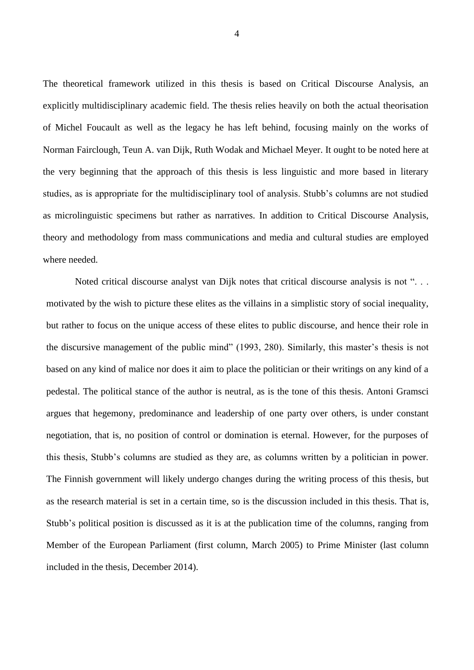The theoretical framework utilized in this thesis is based on Critical Discourse Analysis, an explicitly multidisciplinary academic field. The thesis relies heavily on both the actual theorisation of Michel Foucault as well as the legacy he has left behind, focusing mainly on the works of Norman Fairclough, Teun A. van Dijk, Ruth Wodak and Michael Meyer. It ought to be noted here at the very beginning that the approach of this thesis is less linguistic and more based in literary studies, as is appropriate for the multidisciplinary tool of analysis. Stubb's columns are not studied as microlinguistic specimens but rather as narratives. In addition to Critical Discourse Analysis, theory and methodology from mass communications and media and cultural studies are employed where needed.

Noted critical discourse analyst van Dijk notes that critical discourse analysis is not "... motivated by the wish to picture these elites as the villains in a simplistic story of social inequality, but rather to focus on the unique access of these elites to public discourse, and hence their role in the discursive management of the public mind" (1993, 280). Similarly, this master's thesis is not based on any kind of malice nor does it aim to place the politician or their writings on any kind of a pedestal. The political stance of the author is neutral, as is the tone of this thesis. Antoni Gramsci argues that hegemony, predominance and leadership of one party over others, is under constant negotiation, that is, no position of control or domination is eternal. However, for the purposes of this thesis, Stubb's columns are studied as they are, as columns written by a politician in power. The Finnish government will likely undergo changes during the writing process of this thesis, but as the research material is set in a certain time, so is the discussion included in this thesis. That is, Stubb's political position is discussed as it is at the publication time of the columns, ranging from Member of the European Parliament (first column, March 2005) to Prime Minister (last column included in the thesis, December 2014).

4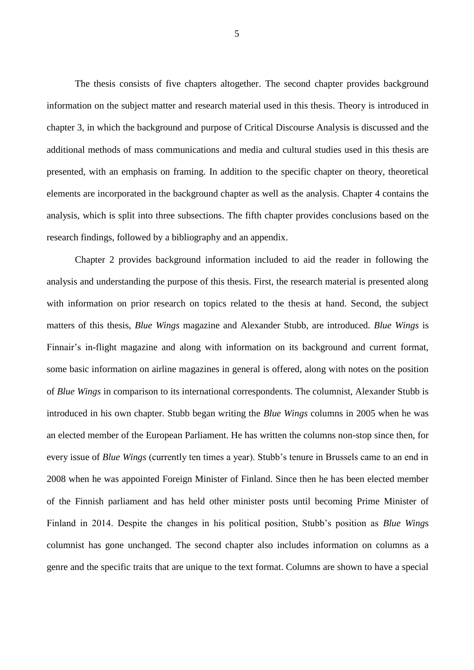The thesis consists of five chapters altogether. The second chapter provides background information on the subject matter and research material used in this thesis. Theory is introduced in chapter 3, in which the background and purpose of Critical Discourse Analysis is discussed and the additional methods of mass communications and media and cultural studies used in this thesis are presented, with an emphasis on framing. In addition to the specific chapter on theory, theoretical elements are incorporated in the background chapter as well as the analysis. Chapter 4 contains the analysis, which is split into three subsections. The fifth chapter provides conclusions based on the research findings, followed by a bibliography and an appendix.

Chapter 2 provides background information included to aid the reader in following the analysis and understanding the purpose of this thesis. First, the research material is presented along with information on prior research on topics related to the thesis at hand. Second, the subject matters of this thesis, *Blue Wings* magazine and Alexander Stubb, are introduced. *Blue Wings* is Finnair's in-flight magazine and along with information on its background and current format, some basic information on airline magazines in general is offered, along with notes on the position of *Blue Wings* in comparison to its international correspondents. The columnist, Alexander Stubb is introduced in his own chapter. Stubb began writing the *Blue Wings* columns in 2005 when he was an elected member of the European Parliament. He has written the columns non-stop since then, for every issue of *Blue Wings* (currently ten times a year). Stubb's tenure in Brussels came to an end in 2008 when he was appointed Foreign Minister of Finland. Since then he has been elected member of the Finnish parliament and has held other minister posts until becoming Prime Minister of Finland in 2014. Despite the changes in his political position, Stubb's position as *Blue Wing*s columnist has gone unchanged. The second chapter also includes information on columns as a genre and the specific traits that are unique to the text format. Columns are shown to have a special

5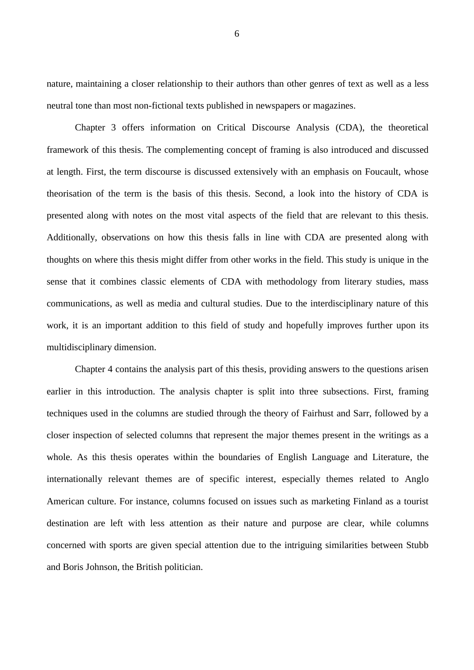nature, maintaining a closer relationship to their authors than other genres of text as well as a less neutral tone than most non-fictional texts published in newspapers or magazines.

Chapter 3 offers information on Critical Discourse Analysis (CDA), the theoretical framework of this thesis. The complementing concept of framing is also introduced and discussed at length. First, the term discourse is discussed extensively with an emphasis on Foucault, whose theorisation of the term is the basis of this thesis. Second, a look into the history of CDA is presented along with notes on the most vital aspects of the field that are relevant to this thesis. Additionally, observations on how this thesis falls in line with CDA are presented along with thoughts on where this thesis might differ from other works in the field. This study is unique in the sense that it combines classic elements of CDA with methodology from literary studies, mass communications, as well as media and cultural studies. Due to the interdisciplinary nature of this work, it is an important addition to this field of study and hopefully improves further upon its multidisciplinary dimension.

Chapter 4 contains the analysis part of this thesis, providing answers to the questions arisen earlier in this introduction. The analysis chapter is split into three subsections. First, framing techniques used in the columns are studied through the theory of Fairhust and Sarr, followed by a closer inspection of selected columns that represent the major themes present in the writings as a whole. As this thesis operates within the boundaries of English Language and Literature, the internationally relevant themes are of specific interest, especially themes related to Anglo American culture. For instance, columns focused on issues such as marketing Finland as a tourist destination are left with less attention as their nature and purpose are clear, while columns concerned with sports are given special attention due to the intriguing similarities between Stubb and Boris Johnson, the British politician.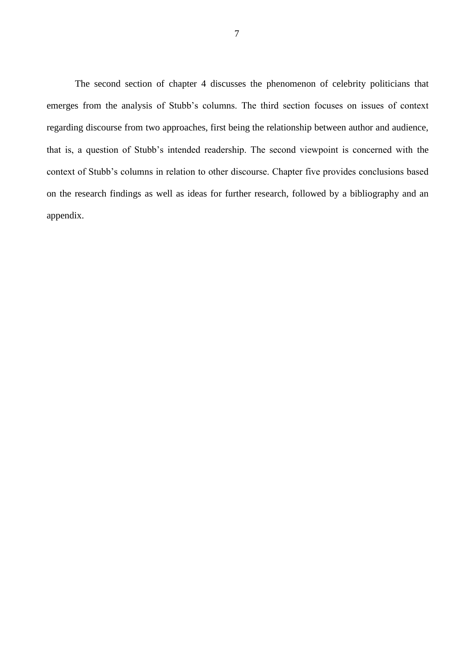The second section of chapter 4 discusses the phenomenon of celebrity politicians that emerges from the analysis of Stubb's columns. The third section focuses on issues of context regarding discourse from two approaches, first being the relationship between author and audience, that is, a question of Stubb's intended readership. The second viewpoint is concerned with the context of Stubb's columns in relation to other discourse. Chapter five provides conclusions based on the research findings as well as ideas for further research, followed by a bibliography and an appendix.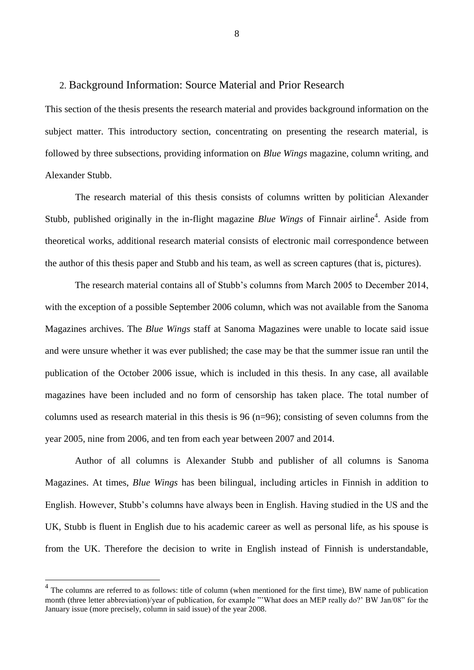#### <span id="page-10-0"></span>2. Background Information: Source Material and Prior Research

This section of the thesis presents the research material and provides background information on the subject matter. This introductory section, concentrating on presenting the research material, is followed by three subsections, providing information on *Blue Wings* magazine, column writing, and Alexander Stubb.

The research material of this thesis consists of columns written by politician Alexander Stubb, published originally in the in-flight magazine *Blue Wings* of Finnair airline<sup>4</sup>. Aside from theoretical works, additional research material consists of electronic mail correspondence between the author of this thesis paper and Stubb and his team, as well as screen captures (that is, pictures).

The research material contains all of Stubb's columns from March 2005 to December 2014, with the exception of a possible September 2006 column, which was not available from the Sanoma Magazines archives. The *Blue Wings* staff at Sanoma Magazines were unable to locate said issue and were unsure whether it was ever published; the case may be that the summer issue ran until the publication of the October 2006 issue, which is included in this thesis. In any case, all available magazines have been included and no form of censorship has taken place. The total number of columns used as research material in this thesis is 96 (n=96); consisting of seven columns from the year 2005, nine from 2006, and ten from each year between 2007 and 2014.

Author of all columns is Alexander Stubb and publisher of all columns is Sanoma Magazines. At times, *Blue Wings* has been bilingual, including articles in Finnish in addition to English. However, Stubb's columns have always been in English. Having studied in the US and the UK, Stubb is fluent in English due to his academic career as well as personal life, as his spouse is from the UK. Therefore the decision to write in English instead of Finnish is understandable,

1

 $4$  The columns are referred to as follows: title of column (when mentioned for the first time), BW name of publication month (three letter abbreviation)/year of publication, for example "'What does an MEP really do?' BW Jan/08" for the January issue (more precisely, column in said issue) of the year 2008.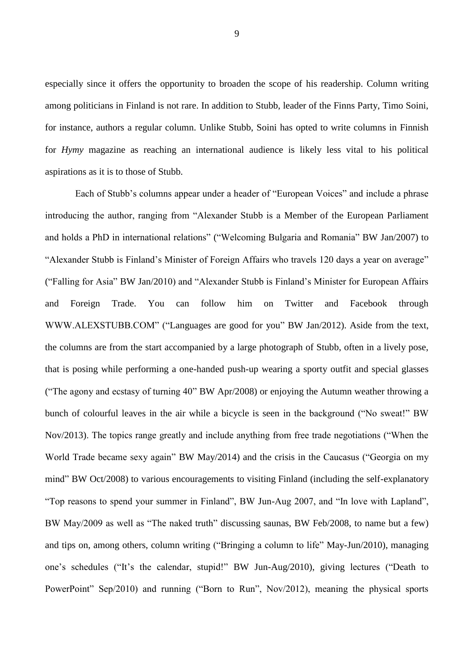especially since it offers the opportunity to broaden the scope of his readership. Column writing among politicians in Finland is not rare. In addition to Stubb, leader of the Finns Party, Timo Soini, for instance, authors a regular column. Unlike Stubb, Soini has opted to write columns in Finnish for *Hymy* magazine as reaching an international audience is likely less vital to his political aspirations as it is to those of Stubb.

Each of Stubb's columns appear under a header of "European Voices" and include a phrase introducing the author, ranging from "Alexander Stubb is a Member of the European Parliament and holds a PhD in international relations" ("Welcoming Bulgaria and Romania" BW Jan/2007) to "Alexander Stubb is Finland's Minister of Foreign Affairs who travels 120 days a year on average" ("Falling for Asia" BW Jan/2010) and "Alexander Stubb is Finland's Minister for European Affairs and Foreign Trade. You can follow him on Twitter and Facebook through WWW.ALEXSTUBB.COM" ("Languages are good for you" BW Jan/2012). Aside from the text, the columns are from the start accompanied by a large photograph of Stubb, often in a lively pose, that is posing while performing a one-handed push-up wearing a sporty outfit and special glasses ("The agony and ecstasy of turning 40" BW Apr/2008) or enjoying the Autumn weather throwing a bunch of colourful leaves in the air while a bicycle is seen in the background ("No sweat!" BW Nov/2013). The topics range greatly and include anything from free trade negotiations ("When the World Trade became sexy again" BW May/2014) and the crisis in the Caucasus ("Georgia on my mind" BW Oct/2008) to various encouragements to visiting Finland (including the self-explanatory "Top reasons to spend your summer in Finland", BW Jun-Aug 2007, and "In love with Lapland", BW May/2009 as well as "The naked truth" discussing saunas, BW Feb/2008, to name but a few) and tips on, among others, column writing ("Bringing a column to life" May-Jun/2010), managing one's schedules ("It's the calendar, stupid!" BW Jun-Aug/2010), giving lectures ("Death to PowerPoint" Sep/2010) and running ("Born to Run", Nov/2012), meaning the physical sports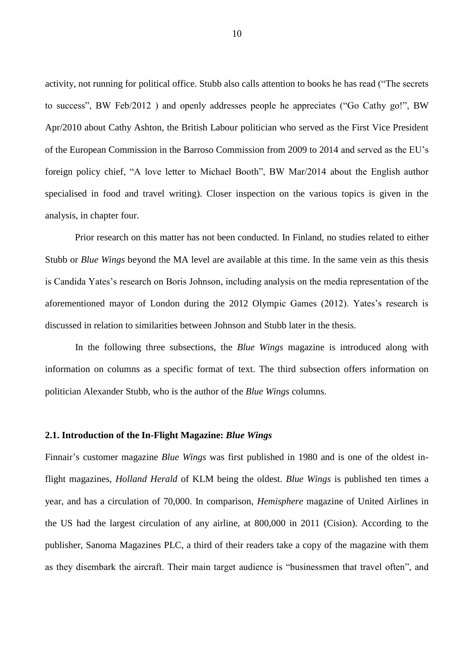activity, not running for political office. Stubb also calls attention to books he has read ("The secrets to success", BW Feb/2012 ) and openly addresses people he appreciates ("Go Cathy go!", BW Apr/2010 about Cathy Ashton, the British Labour politician who served as the First Vice President of the European Commission in the Barroso Commission from 2009 to 2014 and served as the EU's foreign policy chief, "A love letter to Michael Booth", BW Mar/2014 about the English author specialised in food and travel writing). Closer inspection on the various topics is given in the analysis, in chapter four.

Prior research on this matter has not been conducted. In Finland, no studies related to either Stubb or *Blue Wings* beyond the MA level are available at this time. In the same vein as this thesis is Candida Yates's research on Boris Johnson, including analysis on the media representation of the aforementioned mayor of London during the 2012 Olympic Games (2012). Yates's research is discussed in relation to similarities between Johnson and Stubb later in the thesis.

In the following three subsections, the *Blue Wings* magazine is introduced along with information on columns as a specific format of text. The third subsection offers information on politician Alexander Stubb, who is the author of the *Blue Wings* columns.

#### <span id="page-12-0"></span>**2.1. Introduction of the In-Flight Magazine:** *Blue Wings*

Finnair's customer magazine *Blue Wings* was first published in 1980 and is one of the oldest inflight magazines, *Holland Herald* of KLM being the oldest. *Blue Wings* is published ten times a year, and has a circulation of 70,000. In comparison, *Hemisphere* magazine of United Airlines in the US had the largest circulation of any airline, at 800,000 in 2011 (Cision). According to the publisher, Sanoma Magazines PLC, a third of their readers take a copy of the magazine with them as they disembark the aircraft. Their main target audience is "businessmen that travel often", and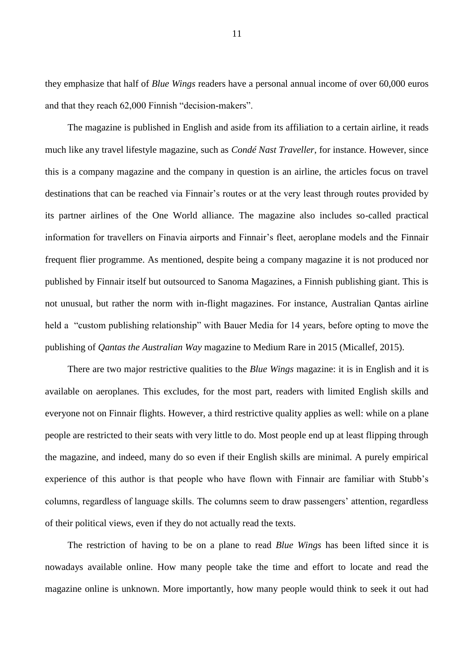they emphasize that half of *Blue Wings* readers have a personal annual income of over 60,000 euros and that they reach 62,000 Finnish "decision-makers".

The magazine is published in English and aside from its affiliation to a certain airline, it reads much like any travel lifestyle magazine, such as *Condé Nast Traveller*, for instance. However, since this is a company magazine and the company in question is an airline, the articles focus on travel destinations that can be reached via Finnair's routes or at the very least through routes provided by its partner airlines of the One World alliance. The magazine also includes so-called practical information for travellers on Finavia airports and Finnair's fleet, aeroplane models and the Finnair frequent flier programme. As mentioned, despite being a company magazine it is not produced nor published by Finnair itself but outsourced to Sanoma Magazines, a Finnish publishing giant. This is not unusual, but rather the norm with in-flight magazines. For instance, Australian Qantas airline held a "custom publishing relationship" with Bauer Media for 14 years, before opting to move the publishing of *Qantas the Australian Way* magazine to Medium Rare in 2015 (Micallef, 2015).

There are two major restrictive qualities to the *Blue Wings* magazine: it is in English and it is available on aeroplanes. This excludes, for the most part, readers with limited English skills and everyone not on Finnair flights. However, a third restrictive quality applies as well: while on a plane people are restricted to their seats with very little to do. Most people end up at least flipping through the magazine, and indeed, many do so even if their English skills are minimal. A purely empirical experience of this author is that people who have flown with Finnair are familiar with Stubb's columns, regardless of language skills. The columns seem to draw passengers' attention, regardless of their political views, even if they do not actually read the texts.

The restriction of having to be on a plane to read *Blue Wings* has been lifted since it is nowadays available online. How many people take the time and effort to locate and read the magazine online is unknown. More importantly, how many people would think to seek it out had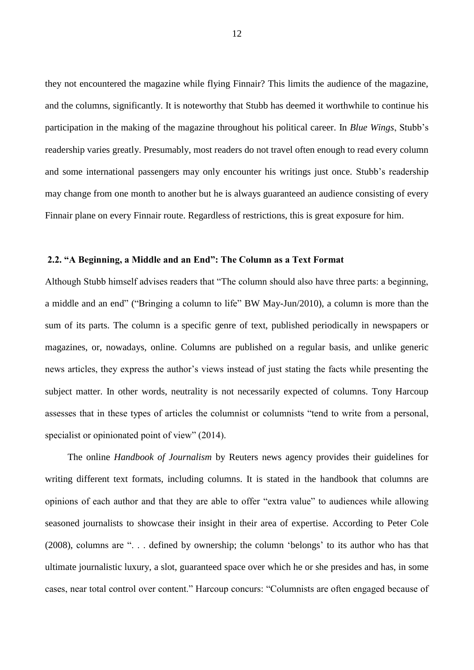they not encountered the magazine while flying Finnair? This limits the audience of the magazine, and the columns, significantly. It is noteworthy that Stubb has deemed it worthwhile to continue his participation in the making of the magazine throughout his political career. In *Blue Wings*, Stubb's readership varies greatly. Presumably, most readers do not travel often enough to read every column and some international passengers may only encounter his writings just once. Stubb's readership may change from one month to another but he is always guaranteed an audience consisting of every Finnair plane on every Finnair route. Regardless of restrictions, this is great exposure for him.

#### <span id="page-14-0"></span>**2.2. "A Beginning, a Middle and an End": The Column as a Text Format**

Although Stubb himself advises readers that "The column should also have three parts: a beginning, a middle and an end" ("Bringing a column to life" BW May-Jun/2010), a column is more than the sum of its parts. The column is a specific genre of text, published periodically in newspapers or magazines, or, nowadays, online. Columns are published on a regular basis, and unlike generic news articles, they express the author's views instead of just stating the facts while presenting the subject matter. In other words, neutrality is not necessarily expected of columns. Tony Harcoup assesses that in these types of articles the columnist or columnists "tend to write from a personal, specialist or opinionated point of view" (2014).

The online *Handbook of Journalism* by Reuters news agency provides their guidelines for writing different text formats, including columns. It is stated in the handbook that columns are opinions of each author and that they are able to offer "extra value" to audiences while allowing seasoned journalists to showcase their insight in their area of expertise. According to Peter Cole (2008), columns are ". . . defined by ownership; the column 'belongs' to its author who has that ultimate journalistic luxury, a slot, guaranteed space over which he or she presides and has, in some cases, near total control over content." Harcoup concurs: "Columnists are often engaged because of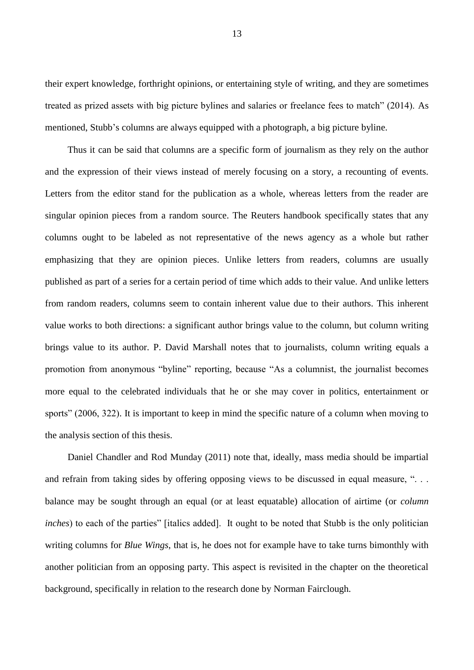their expert knowledge, forthright opinions, or entertaining style of writing, and they are sometimes treated as prized assets with big picture bylines and salaries or freelance fees to match" (2014). As mentioned, Stubb's columns are always equipped with a photograph, a big picture byline.

Thus it can be said that columns are a specific form of journalism as they rely on the author and the expression of their views instead of merely focusing on a story, a recounting of events. Letters from the editor stand for the publication as a whole, whereas letters from the reader are singular opinion pieces from a random source. The Reuters handbook specifically states that any columns ought to be labeled as not representative of the news agency as a whole but rather emphasizing that they are opinion pieces. Unlike letters from readers, columns are usually published as part of a series for a certain period of time which adds to their value. And unlike letters from random readers, columns seem to contain inherent value due to their authors. This inherent value works to both directions: a significant author brings value to the column, but column writing brings value to its author. P. David Marshall notes that to journalists, column writing equals a promotion from anonymous "byline" reporting, because "As a columnist, the journalist becomes more equal to the celebrated individuals that he or she may cover in politics, entertainment or sports" (2006, 322). It is important to keep in mind the specific nature of a column when moving to the analysis section of this thesis.

Daniel Chandler and Rod Munday (2011) note that, ideally, mass media should be impartial and refrain from taking sides by offering opposing views to be discussed in equal measure, "... balance may be sought through an equal (or at least equatable) allocation of airtime (or *column inches*) to each of the parties" [italics added]. It ought to be noted that Stubb is the only politician writing columns for *Blue Wings*, that is, he does not for example have to take turns bimonthly with another politician from an opposing party. This aspect is revisited in the chapter on the theoretical background, specifically in relation to the research done by Norman Fairclough.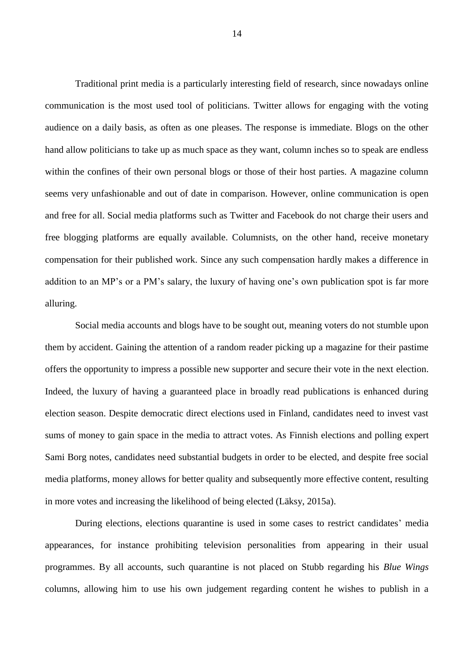Traditional print media is a particularly interesting field of research, since nowadays online communication is the most used tool of politicians. Twitter allows for engaging with the voting audience on a daily basis, as often as one pleases. The response is immediate. Blogs on the other hand allow politicians to take up as much space as they want, column inches so to speak are endless within the confines of their own personal blogs or those of their host parties. A magazine column seems very unfashionable and out of date in comparison. However, online communication is open and free for all. Social media platforms such as Twitter and Facebook do not charge their users and free blogging platforms are equally available. Columnists, on the other hand, receive monetary compensation for their published work. Since any such compensation hardly makes a difference in addition to an MP's or a PM's salary, the luxury of having one's own publication spot is far more alluring.

Social media accounts and blogs have to be sought out, meaning voters do not stumble upon them by accident. Gaining the attention of a random reader picking up a magazine for their pastime offers the opportunity to impress a possible new supporter and secure their vote in the next election. Indeed, the luxury of having a guaranteed place in broadly read publications is enhanced during election season. Despite democratic direct elections used in Finland, candidates need to invest vast sums of money to gain space in the media to attract votes. As Finnish elections and polling expert Sami Borg notes, candidates need substantial budgets in order to be elected, and despite free social media platforms, money allows for better quality and subsequently more effective content, resulting in more votes and increasing the likelihood of being elected (Läksy, 2015a).

During elections, elections quarantine is used in some cases to restrict candidates' media appearances, for instance prohibiting television personalities from appearing in their usual programmes. By all accounts, such quarantine is not placed on Stubb regarding his *Blue Wings* columns, allowing him to use his own judgement regarding content he wishes to publish in a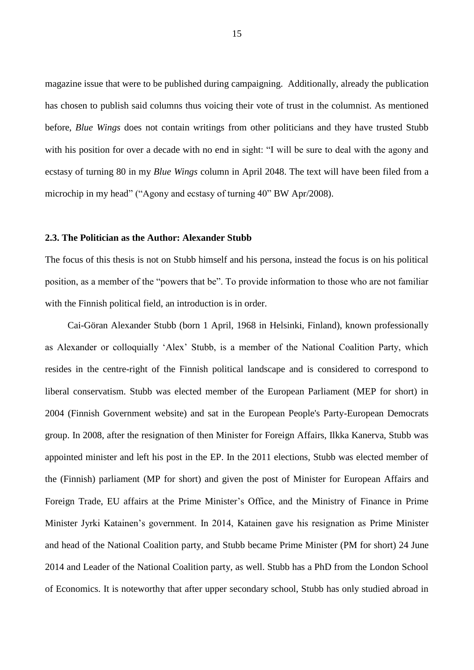magazine issue that were to be published during campaigning. Additionally, already the publication has chosen to publish said columns thus voicing their vote of trust in the columnist. As mentioned before, *Blue Wings* does not contain writings from other politicians and they have trusted Stubb with his position for over a decade with no end in sight: "I will be sure to deal with the agony and ecstasy of turning 80 in my *Blue Wings* column in April 2048. The text will have been filed from a microchip in my head" ("Agony and ecstasy of turning 40" BW Apr/2008).

#### <span id="page-17-0"></span>**2.3. The Politician as the Author: Alexander Stubb**

The focus of this thesis is not on Stubb himself and his persona, instead the focus is on his political position, as a member of the "powers that be". To provide information to those who are not familiar with the Finnish political field, an introduction is in order.

Cai-Göran Alexander Stubb (born 1 April, 1968 in Helsinki, Finland), known professionally as Alexander or colloquially 'Alex' Stubb, is a member of the National Coalition Party, which resides in the centre-right of the Finnish political landscape and is considered to correspond to liberal conservatism. Stubb was elected member of the European Parliament (MEP for short) in 2004 (Finnish Government website) and sat in the European People's Party-European Democrats group. In 2008, after the resignation of then Minister for Foreign Affairs, Ilkka Kanerva, Stubb was appointed minister and left his post in the EP. In the 2011 elections, Stubb was elected member of the (Finnish) parliament (MP for short) and given the post of Minister for European Affairs and Foreign Trade, EU affairs at the Prime Minister's Office, and the Ministry of Finance in Prime Minister Jyrki Katainen's government. In 2014, Katainen gave his resignation as Prime Minister and head of the National Coalition party, and Stubb became Prime Minister (PM for short) 24 June 2014 and Leader of the National Coalition party, as well. Stubb has a PhD from the London School of Economics. It is noteworthy that after upper secondary school, Stubb has only studied abroad in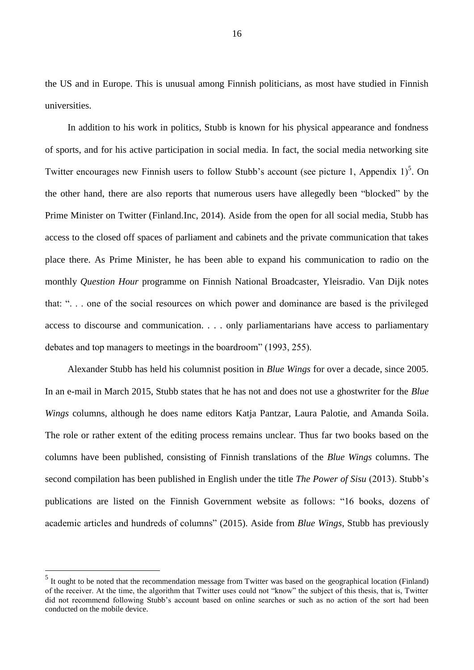the US and in Europe. This is unusual among Finnish politicians, as most have studied in Finnish universities.

In addition to his work in politics, Stubb is known for his physical appearance and fondness of sports, and for his active participation in social media. In fact, the social media networking site Twitter encourages new Finnish users to follow Stubb's account (see picture 1, Appendix  $1$ )<sup>5</sup>. On the other hand, there are also reports that numerous users have allegedly been "blocked" by the Prime Minister on Twitter (Finland.Inc, 2014). Aside from the open for all social media, Stubb has access to the closed off spaces of parliament and cabinets and the private communication that takes place there. As Prime Minister, he has been able to expand his communication to radio on the monthly *Question Hour* programme on Finnish National Broadcaster, Yleisradio. Van Dijk notes that: ". . . one of the social resources on which power and dominance are based is the privileged access to discourse and communication. . . . only parliamentarians have access to parliamentary debates and top managers to meetings in the boardroom" (1993, 255).

Alexander Stubb has held his columnist position in *Blue Wings* for over a decade, since 2005. In an e-mail in March 2015, Stubb states that he has not and does not use a ghostwriter for the *Blue Wings* columns, although he does name editors Katja Pantzar, Laura Palotie, and Amanda Soila. The role or rather extent of the editing process remains unclear. Thus far two books based on the columns have been published, consisting of Finnish translations of the *Blue Wings* columns. The second compilation has been published in English under the title *The Power of Sisu* (2013). Stubb's publications are listed on the Finnish Government website as follows: "16 books, dozens of academic articles and hundreds of columns" (2015). Aside from *Blue Wings*, Stubb has previously

1

<sup>&</sup>lt;sup>5</sup> It ought to be noted that the recommendation message from Twitter was based on the geographical location (Finland) of the receiver. At the time, the algorithm that Twitter uses could not "know" the subject of this thesis, that is, Twitter did not recommend following Stubb's account based on online searches or such as no action of the sort had been conducted on the mobile device.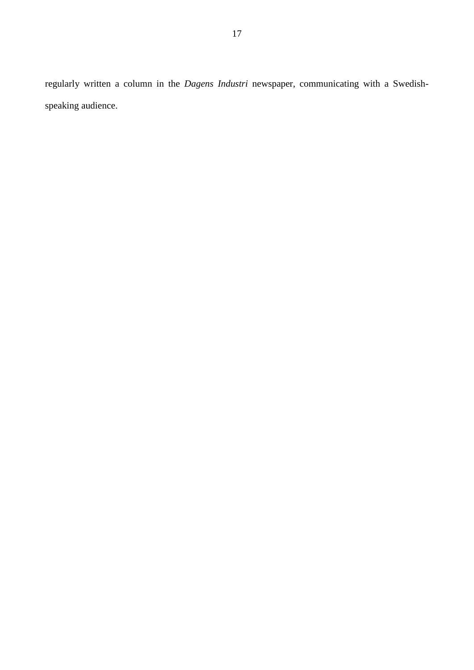regularly written a column in the *Dagens Industri* newspaper, communicating with a Swedishspeaking audience.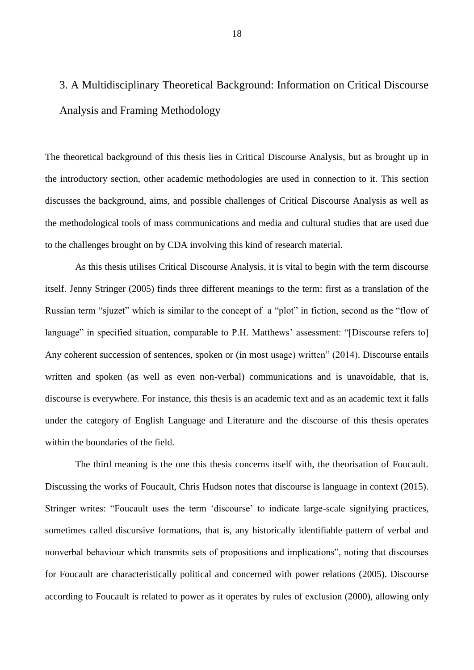# <span id="page-20-0"></span>3. A Multidisciplinary Theoretical Background: Information on Critical Discourse Analysis and Framing Methodology

The theoretical background of this thesis lies in Critical Discourse Analysis, but as brought up in the introductory section, other academic methodologies are used in connection to it. This section discusses the background, aims, and possible challenges of Critical Discourse Analysis as well as the methodological tools of mass communications and media and cultural studies that are used due to the challenges brought on by CDA involving this kind of research material.

As this thesis utilises Critical Discourse Analysis, it is vital to begin with the term discourse itself. Jenny Stringer (2005) finds three different meanings to the term: first as a translation of the Russian term "sjuzet" which is similar to the concept of a "plot" in fiction, second as the "flow of language" in specified situation, comparable to P.H. Matthews' assessment: "[Discourse refers to] Any coherent succession of sentences, spoken or (in most usage) written" (2014). Discourse entails written and spoken (as well as even non-verbal) communications and is unavoidable, that is, discourse is everywhere. For instance, this thesis is an academic text and as an academic text it falls under the category of English Language and Literature and the discourse of this thesis operates within the boundaries of the field.

The third meaning is the one this thesis concerns itself with, the theorisation of Foucault. Discussing the works of Foucault, Chris Hudson notes that discourse is language in context (2015). Stringer writes: "Foucault uses the term 'discourse' to indicate large-scale signifying practices, sometimes called discursive formations, that is, any historically identifiable pattern of verbal and nonverbal behaviour which transmits sets of propositions and implications", noting that discourses for Foucault are characteristically political and concerned with power relations (2005). Discourse according to Foucault is related to power as it operates by rules of exclusion (2000), allowing only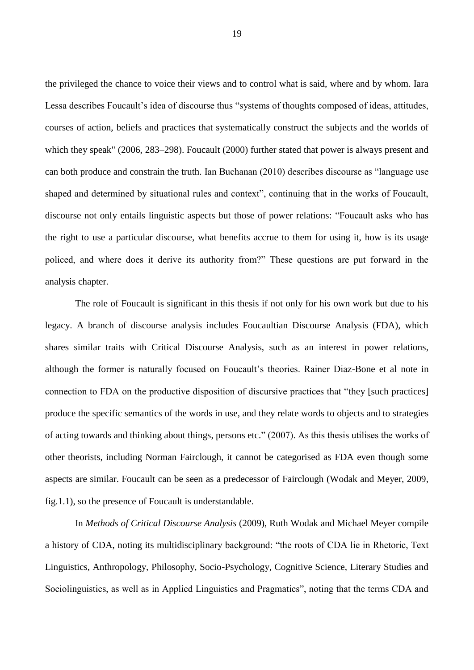the privileged the chance to voice their views and to control what is said, where and by whom. Iara Lessa describes Foucault's idea of discourse thus "systems of thoughts composed of ideas, attitudes, courses of action, beliefs and practices that systematically construct the subjects and the worlds of which they speak" (2006, 283–298). Foucault (2000) further stated that power is always present and can both produce and constrain the truth. Ian Buchanan (2010) describes discourse as "language use shaped and determined by situational rules and context", continuing that in the works of Foucault, discourse not only entails linguistic aspects but those of power relations: "Foucault asks who has the right to use a particular discourse, what benefits accrue to them for using it, how is its usage policed, and where does it derive its authority from?" These questions are put forward in the analysis chapter.

The role of Foucault is significant in this thesis if not only for his own work but due to his legacy. A branch of discourse analysis includes Foucaultian Discourse Analysis (FDA), which shares similar traits with Critical Discourse Analysis, such as an interest in power relations, although the former is naturally focused on Foucault's theories. Rainer Diaz-Bone et al note in connection to FDA on the productive disposition of discursive practices that "they [such practices] produce the specific semantics of the words in use, and they relate words to objects and to strategies of acting towards and thinking about things, persons etc." (2007). As this thesis utilises the works of other theorists, including Norman Fairclough, it cannot be categorised as FDA even though some aspects are similar. Foucault can be seen as a predecessor of Fairclough (Wodak and Meyer, 2009, fig.1.1), so the presence of Foucault is understandable.

In *Methods of Critical Discourse Analysis* (2009), Ruth Wodak and Michael Meyer compile a history of CDA, noting its multidisciplinary background: "the roots of CDA lie in Rhetoric, Text Linguistics, Anthropology, Philosophy, Socio-Psychology, Cognitive Science, Literary Studies and Sociolinguistics, as well as in Applied Linguistics and Pragmatics", noting that the terms CDA and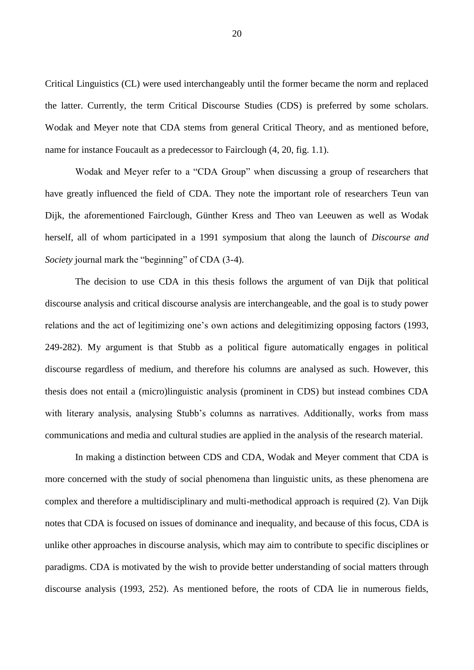Critical Linguistics (CL) were used interchangeably until the former became the norm and replaced the latter. Currently, the term Critical Discourse Studies (CDS) is preferred by some scholars. Wodak and Meyer note that CDA stems from general Critical Theory, and as mentioned before, name for instance Foucault as a predecessor to Fairclough (4, 20, fig. 1.1).

Wodak and Meyer refer to a "CDA Group" when discussing a group of researchers that have greatly influenced the field of CDA. They note the important role of researchers Teun van Dijk, the aforementioned Fairclough, Günther Kress and Theo van Leeuwen as well as Wodak herself, all of whom participated in a 1991 symposium that along the launch of *Discourse and Society* journal mark the "beginning" of CDA (3-4).

The decision to use CDA in this thesis follows the argument of van Dijk that political discourse analysis and critical discourse analysis are interchangeable, and the goal is to study power relations and the act of legitimizing one's own actions and delegitimizing opposing factors (1993, 249-282). My argument is that Stubb as a political figure automatically engages in political discourse regardless of medium, and therefore his columns are analysed as such. However, this thesis does not entail a (micro)linguistic analysis (prominent in CDS) but instead combines CDA with literary analysis, analysing Stubb's columns as narratives. Additionally, works from mass communications and media and cultural studies are applied in the analysis of the research material.

In making a distinction between CDS and CDA, Wodak and Meyer comment that CDA is more concerned with the study of social phenomena than linguistic units, as these phenomena are complex and therefore a multidisciplinary and multi-methodical approach is required (2). Van Dijk notes that CDA is focused on issues of dominance and inequality, and because of this focus, CDA is unlike other approaches in discourse analysis, which may aim to contribute to specific disciplines or paradigms. CDA is motivated by the wish to provide better understanding of social matters through discourse analysis (1993, 252). As mentioned before, the roots of CDA lie in numerous fields,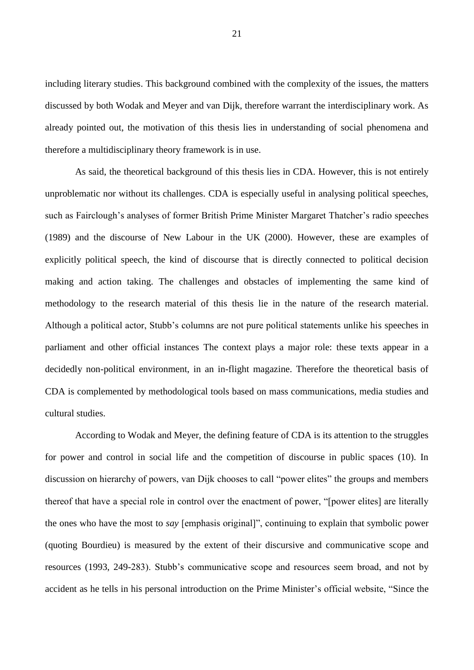including literary studies. This background combined with the complexity of the issues, the matters discussed by both Wodak and Meyer and van Dijk, therefore warrant the interdisciplinary work. As already pointed out, the motivation of this thesis lies in understanding of social phenomena and therefore a multidisciplinary theory framework is in use.

As said, the theoretical background of this thesis lies in CDA. However, this is not entirely unproblematic nor without its challenges. CDA is especially useful in analysing political speeches, such as Fairclough's analyses of former British Prime Minister Margaret Thatcher's radio speeches (1989) and the discourse of New Labour in the UK (2000). However, these are examples of explicitly political speech, the kind of discourse that is directly connected to political decision making and action taking. The challenges and obstacles of implementing the same kind of methodology to the research material of this thesis lie in the nature of the research material. Although a political actor, Stubb's columns are not pure political statements unlike his speeches in parliament and other official instances The context plays a major role: these texts appear in a decidedly non-political environment, in an in-flight magazine. Therefore the theoretical basis of CDA is complemented by methodological tools based on mass communications, media studies and cultural studies.

According to Wodak and Meyer, the defining feature of CDA is its attention to the struggles for power and control in social life and the competition of discourse in public spaces (10). In discussion on hierarchy of powers, van Dijk chooses to call "power elites" the groups and members thereof that have a special role in control over the enactment of power, "[power elites] are literally the ones who have the most to *say* [emphasis original]", continuing to explain that symbolic power (quoting Bourdieu) is measured by the extent of their discursive and communicative scope and resources (1993, 249-283). Stubb's communicative scope and resources seem broad, and not by accident as he tells in his personal introduction on the Prime Minister's official website, "Since the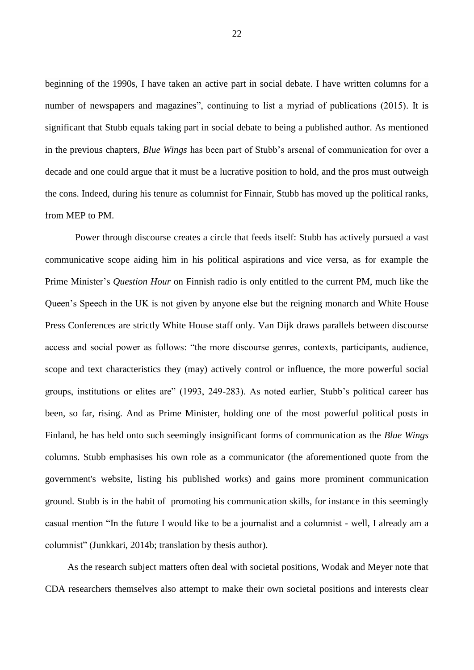beginning of the 1990s, I have taken an active part in social debate. I have written columns for a number of newspapers and magazines", continuing to list a myriad of publications (2015). It is significant that Stubb equals taking part in social debate to being a published author. As mentioned in the previous chapters, *Blue Wings* has been part of Stubb's arsenal of communication for over a decade and one could argue that it must be a lucrative position to hold, and the pros must outweigh the cons. Indeed, during his tenure as columnist for Finnair, Stubb has moved up the political ranks, from MEP to PM.

Power through discourse creates a circle that feeds itself: Stubb has actively pursued a vast communicative scope aiding him in his political aspirations and vice versa, as for example the Prime Minister's *Question Hour* on Finnish radio is only entitled to the current PM, much like the Queen's Speech in the UK is not given by anyone else but the reigning monarch and White House Press Conferences are strictly White House staff only. Van Dijk draws parallels between discourse access and social power as follows: "the more discourse genres, contexts, participants, audience, scope and text characteristics they (may) actively control or influence, the more powerful social groups, institutions or elites are" (1993, 249-283). As noted earlier, Stubb's political career has been, so far, rising. And as Prime Minister, holding one of the most powerful political posts in Finland, he has held onto such seemingly insignificant forms of communication as the *Blue Wings* columns. Stubb emphasises his own role as a communicator (the aforementioned quote from the government's website, listing his published works) and gains more prominent communication ground. Stubb is in the habit of promoting his communication skills, for instance in this seemingly casual mention "In the future I would like to be a journalist and a columnist - well, I already am a columnist" (Junkkari, 2014b; translation by thesis author).

As the research subject matters often deal with societal positions, Wodak and Meyer note that CDA researchers themselves also attempt to make their own societal positions and interests clear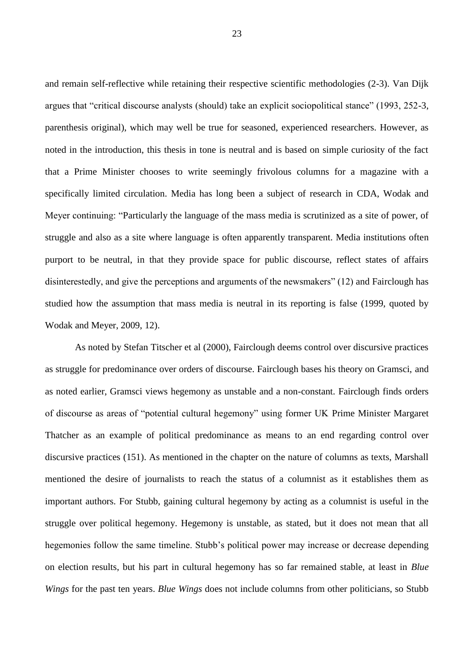and remain self-reflective while retaining their respective scientific methodologies (2-3). Van Dijk argues that "critical discourse analysts (should) take an explicit sociopolitical stance" (1993, 252-3, parenthesis original), which may well be true for seasoned, experienced researchers. However, as noted in the introduction, this thesis in tone is neutral and is based on simple curiosity of the fact that a Prime Minister chooses to write seemingly frivolous columns for a magazine with a specifically limited circulation. Media has long been a subject of research in CDA, Wodak and Meyer continuing: "Particularly the language of the mass media is scrutinized as a site of power, of struggle and also as a site where language is often apparently transparent. Media institutions often purport to be neutral, in that they provide space for public discourse, reflect states of affairs disinterestedly, and give the perceptions and arguments of the newsmakers" (12) and Fairclough has studied how the assumption that mass media is neutral in its reporting is false (1999, quoted by Wodak and Meyer, 2009, 12).

As noted by Stefan Titscher et al (2000), Fairclough deems control over discursive practices as struggle for predominance over orders of discourse. Fairclough bases his theory on Gramsci, and as noted earlier, Gramsci views hegemony as unstable and a non-constant. Fairclough finds orders of discourse as areas of "potential cultural hegemony" using former UK Prime Minister Margaret Thatcher as an example of political predominance as means to an end regarding control over discursive practices (151). As mentioned in the chapter on the nature of columns as texts, Marshall mentioned the desire of journalists to reach the status of a columnist as it establishes them as important authors. For Stubb, gaining cultural hegemony by acting as a columnist is useful in the struggle over political hegemony. Hegemony is unstable, as stated, but it does not mean that all hegemonies follow the same timeline. Stubb's political power may increase or decrease depending on election results, but his part in cultural hegemony has so far remained stable, at least in *Blue Wings* for the past ten years. *Blue Wings* does not include columns from other politicians, so Stubb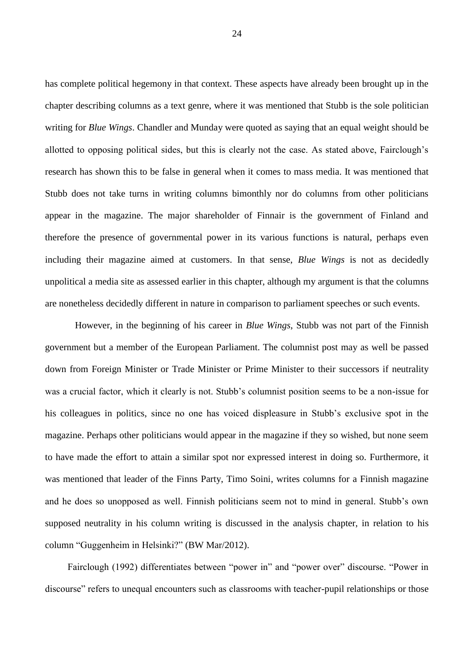has complete political hegemony in that context. These aspects have already been brought up in the chapter describing columns as a text genre, where it was mentioned that Stubb is the sole politician writing for *Blue Wings*. Chandler and Munday were quoted as saying that an equal weight should be allotted to opposing political sides, but this is clearly not the case. As stated above, Fairclough's research has shown this to be false in general when it comes to mass media. It was mentioned that Stubb does not take turns in writing columns bimonthly nor do columns from other politicians appear in the magazine. The major shareholder of Finnair is the government of Finland and therefore the presence of governmental power in its various functions is natural, perhaps even including their magazine aimed at customers. In that sense, *Blue Wings* is not as decidedly unpolitical a media site as assessed earlier in this chapter, although my argument is that the columns are nonetheless decidedly different in nature in comparison to parliament speeches or such events.

However, in the beginning of his career in *Blue Wings*, Stubb was not part of the Finnish government but a member of the European Parliament. The columnist post may as well be passed down from Foreign Minister or Trade Minister or Prime Minister to their successors if neutrality was a crucial factor, which it clearly is not. Stubb's columnist position seems to be a non-issue for his colleagues in politics, since no one has voiced displeasure in Stubb's exclusive spot in the magazine. Perhaps other politicians would appear in the magazine if they so wished, but none seem to have made the effort to attain a similar spot nor expressed interest in doing so. Furthermore, it was mentioned that leader of the Finns Party, Timo Soini, writes columns for a Finnish magazine and he does so unopposed as well. Finnish politicians seem not to mind in general. Stubb's own supposed neutrality in his column writing is discussed in the analysis chapter, in relation to his column "Guggenheim in Helsinki?" (BW Mar/2012).

Fairclough (1992) differentiates between "power in" and "power over" discourse. "Power in discourse" refers to unequal encounters such as classrooms with teacher-pupil relationships or those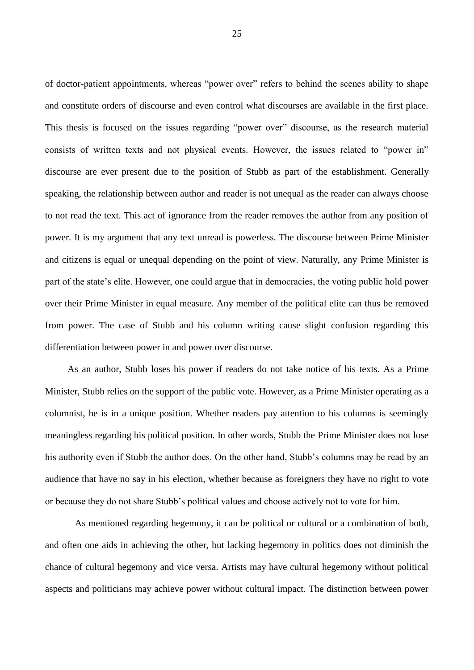of doctor-patient appointments, whereas "power over" refers to behind the scenes ability to shape and constitute orders of discourse and even control what discourses are available in the first place. This thesis is focused on the issues regarding "power over" discourse, as the research material consists of written texts and not physical events. However, the issues related to "power in" discourse are ever present due to the position of Stubb as part of the establishment. Generally speaking, the relationship between author and reader is not unequal as the reader can always choose to not read the text. This act of ignorance from the reader removes the author from any position of power. It is my argument that any text unread is powerless. The discourse between Prime Minister and citizens is equal or unequal depending on the point of view. Naturally, any Prime Minister is part of the state's elite. However, one could argue that in democracies, the voting public hold power over their Prime Minister in equal measure. Any member of the political elite can thus be removed from power. The case of Stubb and his column writing cause slight confusion regarding this differentiation between power in and power over discourse.

As an author, Stubb loses his power if readers do not take notice of his texts. As a Prime Minister, Stubb relies on the support of the public vote. However, as a Prime Minister operating as a columnist, he is in a unique position. Whether readers pay attention to his columns is seemingly meaningless regarding his political position. In other words, Stubb the Prime Minister does not lose his authority even if Stubb the author does. On the other hand, Stubb's columns may be read by an audience that have no say in his election, whether because as foreigners they have no right to vote or because they do not share Stubb's political values and choose actively not to vote for him.

As mentioned regarding hegemony, it can be political or cultural or a combination of both, and often one aids in achieving the other, but lacking hegemony in politics does not diminish the chance of cultural hegemony and vice versa. Artists may have cultural hegemony without political aspects and politicians may achieve power without cultural impact. The distinction between power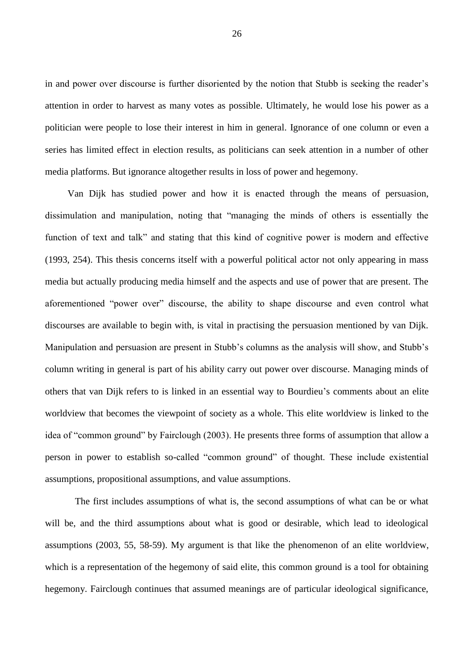in and power over discourse is further disoriented by the notion that Stubb is seeking the reader's attention in order to harvest as many votes as possible. Ultimately, he would lose his power as a politician were people to lose their interest in him in general. Ignorance of one column or even a series has limited effect in election results, as politicians can seek attention in a number of other media platforms. But ignorance altogether results in loss of power and hegemony.

Van Dijk has studied power and how it is enacted through the means of persuasion, dissimulation and manipulation, noting that "managing the minds of others is essentially the function of text and talk" and stating that this kind of cognitive power is modern and effective (1993, 254). This thesis concerns itself with a powerful political actor not only appearing in mass media but actually producing media himself and the aspects and use of power that are present. The aforementioned "power over" discourse, the ability to shape discourse and even control what discourses are available to begin with, is vital in practising the persuasion mentioned by van Dijk. Manipulation and persuasion are present in Stubb's columns as the analysis will show, and Stubb's column writing in general is part of his ability carry out power over discourse. Managing minds of others that van Dijk refers to is linked in an essential way to Bourdieu's comments about an elite worldview that becomes the viewpoint of society as a whole. This elite worldview is linked to the idea of "common ground" by Fairclough (2003). He presents three forms of assumption that allow a person in power to establish so-called "common ground" of thought. These include existential assumptions, propositional assumptions, and value assumptions.

The first includes assumptions of what is, the second assumptions of what can be or what will be, and the third assumptions about what is good or desirable, which lead to ideological assumptions (2003, 55, 58-59). My argument is that like the phenomenon of an elite worldview, which is a representation of the hegemony of said elite, this common ground is a tool for obtaining hegemony. Fairclough continues that assumed meanings are of particular ideological significance,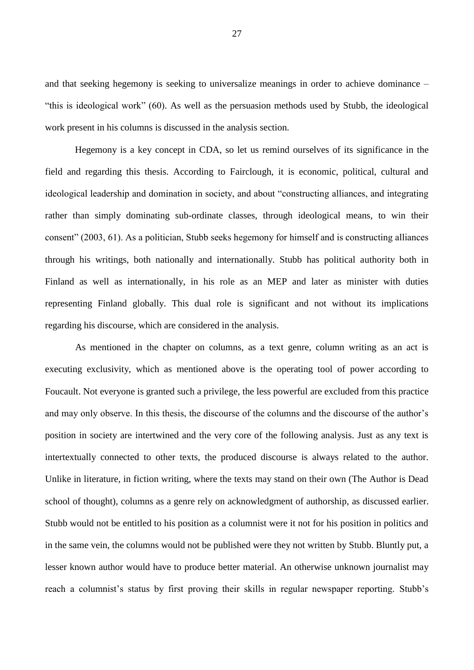and that seeking hegemony is seeking to universalize meanings in order to achieve dominance – "this is ideological work" (60). As well as the persuasion methods used by Stubb, the ideological work present in his columns is discussed in the analysis section.

Hegemony is a key concept in CDA, so let us remind ourselves of its significance in the field and regarding this thesis. According to Fairclough, it is economic, political, cultural and ideological leadership and domination in society, and about "constructing alliances, and integrating rather than simply dominating sub-ordinate classes, through ideological means, to win their consent" (2003, 61). As a politician, Stubb seeks hegemony for himself and is constructing alliances through his writings, both nationally and internationally. Stubb has political authority both in Finland as well as internationally, in his role as an MEP and later as minister with duties representing Finland globally. This dual role is significant and not without its implications regarding his discourse, which are considered in the analysis.

As mentioned in the chapter on columns, as a text genre, column writing as an act is executing exclusivity, which as mentioned above is the operating tool of power according to Foucault. Not everyone is granted such a privilege, the less powerful are excluded from this practice and may only observe. In this thesis, the discourse of the columns and the discourse of the author's position in society are intertwined and the very core of the following analysis. Just as any text is intertextually connected to other texts, the produced discourse is always related to the author. Unlike in literature, in fiction writing, where the texts may stand on their own (The Author is Dead school of thought), columns as a genre rely on acknowledgment of authorship, as discussed earlier. Stubb would not be entitled to his position as a columnist were it not for his position in politics and in the same vein, the columns would not be published were they not written by Stubb. Bluntly put, a lesser known author would have to produce better material. An otherwise unknown journalist may reach a columnist's status by first proving their skills in regular newspaper reporting. Stubb's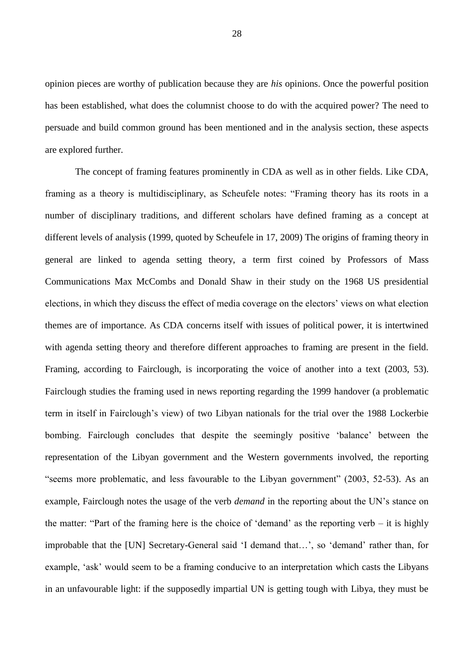opinion pieces are worthy of publication because they are *his* opinions. Once the powerful position has been established, what does the columnist choose to do with the acquired power? The need to persuade and build common ground has been mentioned and in the analysis section, these aspects are explored further.

The concept of framing features prominently in CDA as well as in other fields. Like CDA, framing as a theory is multidisciplinary, as Scheufele notes: "Framing theory has its roots in a number of disciplinary traditions, and different scholars have defined framing as a concept at different levels of analysis (1999, quoted by Scheufele in 17, 2009) The origins of framing theory in general are linked to agenda setting theory, a term first coined by Professors of Mass Communications Max McCombs and Donald Shaw in their study on the 1968 US presidential elections, in which they discuss the effect of media coverage on the electors' views on what election themes are of importance. As CDA concerns itself with issues of political power, it is intertwined with agenda setting theory and therefore different approaches to framing are present in the field. Framing, according to Fairclough, is incorporating the voice of another into a text (2003, 53). Fairclough studies the framing used in news reporting regarding the 1999 handover (a problematic term in itself in Fairclough's view) of two Libyan nationals for the trial over the 1988 Lockerbie bombing. Fairclough concludes that despite the seemingly positive 'balance' between the representation of the Libyan government and the Western governments involved, the reporting "seems more problematic, and less favourable to the Libyan government" (2003, 52-53). As an example, Fairclough notes the usage of the verb *demand* in the reporting about the UN's stance on the matter: "Part of the framing here is the choice of 'demand' as the reporting verb – it is highly improbable that the [UN] Secretary-General said 'I demand that…', so 'demand' rather than, for example, 'ask' would seem to be a framing conducive to an interpretation which casts the Libyans in an unfavourable light: if the supposedly impartial UN is getting tough with Libya, they must be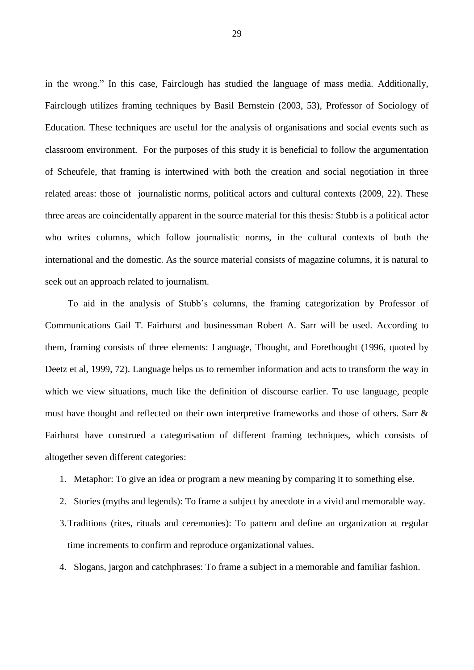in the wrong." In this case, Fairclough has studied the language of mass media. Additionally, Fairclough utilizes framing techniques by Basil Bernstein (2003, 53), Professor of Sociology of Education. These techniques are useful for the analysis of organisations and social events such as classroom environment. For the purposes of this study it is beneficial to follow the argumentation of Scheufele, that framing is intertwined with both the creation and social negotiation in three related areas: those of journalistic norms, political actors and cultural contexts (2009, 22). These three areas are coincidentally apparent in the source material for this thesis: Stubb is a political actor who writes columns, which follow journalistic norms, in the cultural contexts of both the international and the domestic. As the source material consists of magazine columns, it is natural to seek out an approach related to journalism.

To aid in the analysis of Stubb's columns, the framing categorization by Professor of Communications Gail T. Fairhurst and businessman Robert A. Sarr will be used. According to them, framing consists of three elements: Language, Thought, and Forethought (1996, quoted by Deetz et al, 1999, 72). Language helps us to remember information and acts to transform the way in which we view situations, much like the definition of discourse earlier. To use language, people must have thought and reflected on their own interpretive frameworks and those of others. Sarr & Fairhurst have construed a categorisation of different framing techniques, which consists of altogether seven different categories:

- 1. Metaphor: To give an idea or program a new meaning by comparing it to something else.
- 2. Stories (myths and legends): To frame a subject by anecdote in a vivid and memorable way.
- 3.Traditions (rites, rituals and ceremonies): To pattern and define an organization at regular time increments to confirm and reproduce organizational values.

4. Slogans, jargon and catchphrases: To frame a subject in a memorable and familiar fashion.

29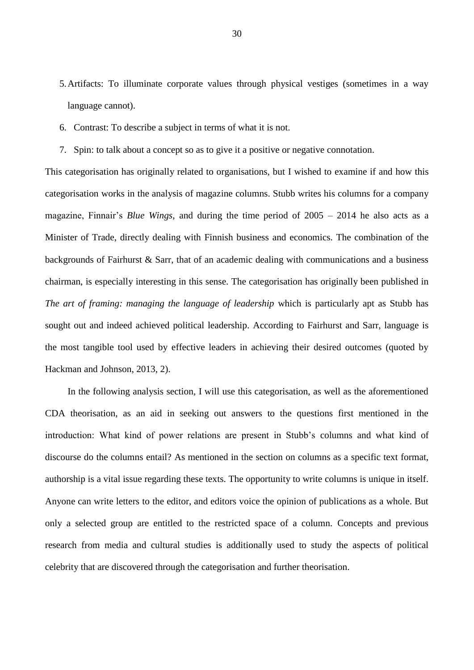- 5.Artifacts: To illuminate corporate values through physical vestiges (sometimes in a way language cannot).
- 6. Contrast: To describe a subject in terms of what it is not.
- 7. Spin: to talk about a concept so as to give it a positive or negative connotation.

This categorisation has originally related to organisations, but I wished to examine if and how this categorisation works in the analysis of magazine columns. Stubb writes his columns for a company magazine, Finnair's *Blue Wings*, and during the time period of 2005 – 2014 he also acts as a Minister of Trade, directly dealing with Finnish business and economics. The combination of the backgrounds of Fairhurst & Sarr, that of an academic dealing with communications and a business chairman, is especially interesting in this sense. The categorisation has originally been published in *The art of framing: managing the language of leadership* which is particularly apt as Stubb has sought out and indeed achieved political leadership. According to Fairhurst and Sarr, language is the most tangible tool used by effective leaders in achieving their desired outcomes (quoted by Hackman and Johnson, 2013, 2).

In the following analysis section, I will use this categorisation, as well as the aforementioned CDA theorisation, as an aid in seeking out answers to the questions first mentioned in the introduction: What kind of power relations are present in Stubb's columns and what kind of discourse do the columns entail? As mentioned in the section on columns as a specific text format, authorship is a vital issue regarding these texts. The opportunity to write columns is unique in itself. Anyone can write letters to the editor, and editors voice the opinion of publications as a whole. But only a selected group are entitled to the restricted space of a column. Concepts and previous research from media and cultural studies is additionally used to study the aspects of political celebrity that are discovered through the categorisation and further theorisation.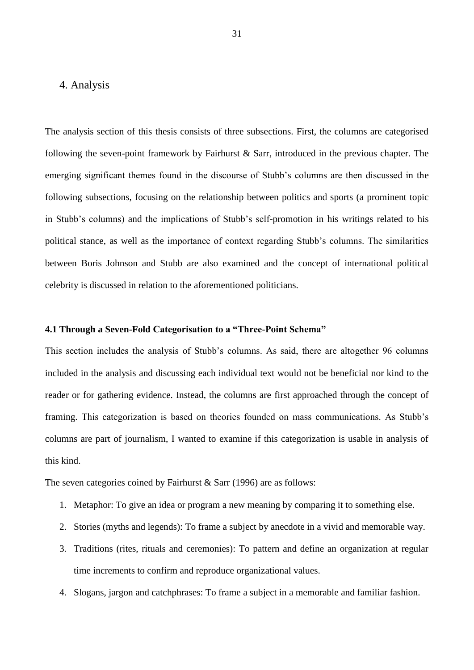## <span id="page-33-0"></span>4. Analysis

The analysis section of this thesis consists of three subsections. First, the columns are categorised following the seven-point framework by Fairhurst & Sarr, introduced in the previous chapter. The emerging significant themes found in the discourse of Stubb's columns are then discussed in the following subsections, focusing on the relationship between politics and sports (a prominent topic in Stubb's columns) and the implications of Stubb's self-promotion in his writings related to his political stance, as well as the importance of context regarding Stubb's columns. The similarities between Boris Johnson and Stubb are also examined and the concept of international political celebrity is discussed in relation to the aforementioned politicians.

#### <span id="page-33-1"></span>**4.1 Through a Seven-Fold Categorisation to a "Three-Point Schema"**

This section includes the analysis of Stubb's columns. As said, there are altogether 96 columns included in the analysis and discussing each individual text would not be beneficial nor kind to the reader or for gathering evidence. Instead, the columns are first approached through the concept of framing. This categorization is based on theories founded on mass communications. As Stubb's columns are part of journalism, I wanted to examine if this categorization is usable in analysis of this kind.

The seven categories coined by Fairhurst & Sarr (1996) are as follows:

- 1. Metaphor: To give an idea or program a new meaning by comparing it to something else.
- 2. Stories (myths and legends): To frame a subject by anecdote in a vivid and memorable way.
- 3. Traditions (rites, rituals and ceremonies): To pattern and define an organization at regular time increments to confirm and reproduce organizational values.
- 4. Slogans, jargon and catchphrases: To frame a subject in a memorable and familiar fashion.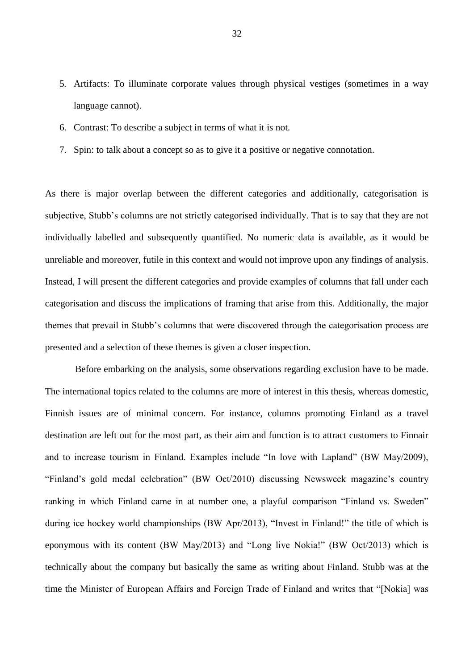- 5. Artifacts: To illuminate corporate values through physical vestiges (sometimes in a way language cannot).
- 6. Contrast: To describe a subject in terms of what it is not.
- 7. Spin: to talk about a concept so as to give it a positive or negative connotation.

As there is major overlap between the different categories and additionally, categorisation is subjective, Stubb's columns are not strictly categorised individually. That is to say that they are not individually labelled and subsequently quantified. No numeric data is available, as it would be unreliable and moreover, futile in this context and would not improve upon any findings of analysis. Instead, I will present the different categories and provide examples of columns that fall under each categorisation and discuss the implications of framing that arise from this. Additionally, the major themes that prevail in Stubb's columns that were discovered through the categorisation process are presented and a selection of these themes is given a closer inspection.

Before embarking on the analysis, some observations regarding exclusion have to be made. The international topics related to the columns are more of interest in this thesis, whereas domestic, Finnish issues are of minimal concern. For instance, columns promoting Finland as a travel destination are left out for the most part, as their aim and function is to attract customers to Finnair and to increase tourism in Finland. Examples include "In love with Lapland" (BW May/2009), "Finland's gold medal celebration" (BW Oct/2010) discussing Newsweek magazine's country ranking in which Finland came in at number one, a playful comparison "Finland vs. Sweden" during ice hockey world championships (BW Apr/2013), "Invest in Finland!" the title of which is eponymous with its content (BW May/2013) and "Long live Nokia!" (BW Oct/2013) which is technically about the company but basically the same as writing about Finland. Stubb was at the time the Minister of European Affairs and Foreign Trade of Finland and writes that "[Nokia] was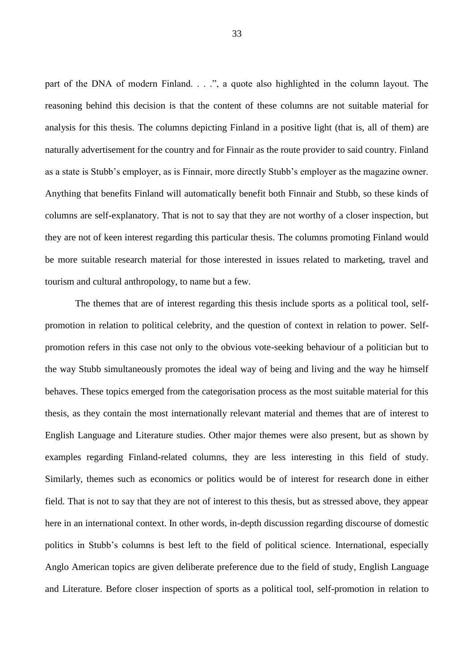part of the DNA of modern Finland. . . .", a quote also highlighted in the column layout. The reasoning behind this decision is that the content of these columns are not suitable material for analysis for this thesis. The columns depicting Finland in a positive light (that is, all of them) are naturally advertisement for the country and for Finnair as the route provider to said country. Finland as a state is Stubb's employer, as is Finnair, more directly Stubb's employer as the magazine owner. Anything that benefits Finland will automatically benefit both Finnair and Stubb, so these kinds of columns are self-explanatory. That is not to say that they are not worthy of a closer inspection, but they are not of keen interest regarding this particular thesis. The columns promoting Finland would be more suitable research material for those interested in issues related to marketing, travel and tourism and cultural anthropology, to name but a few.

The themes that are of interest regarding this thesis include sports as a political tool, selfpromotion in relation to political celebrity, and the question of context in relation to power. Selfpromotion refers in this case not only to the obvious vote-seeking behaviour of a politician but to the way Stubb simultaneously promotes the ideal way of being and living and the way he himself behaves. These topics emerged from the categorisation process as the most suitable material for this thesis, as they contain the most internationally relevant material and themes that are of interest to English Language and Literature studies. Other major themes were also present, but as shown by examples regarding Finland-related columns, they are less interesting in this field of study. Similarly, themes such as economics or politics would be of interest for research done in either field. That is not to say that they are not of interest to this thesis, but as stressed above, they appear here in an international context. In other words, in-depth discussion regarding discourse of domestic politics in Stubb's columns is best left to the field of political science. International, especially Anglo American topics are given deliberate preference due to the field of study, English Language and Literature. Before closer inspection of sports as a political tool, self-promotion in relation to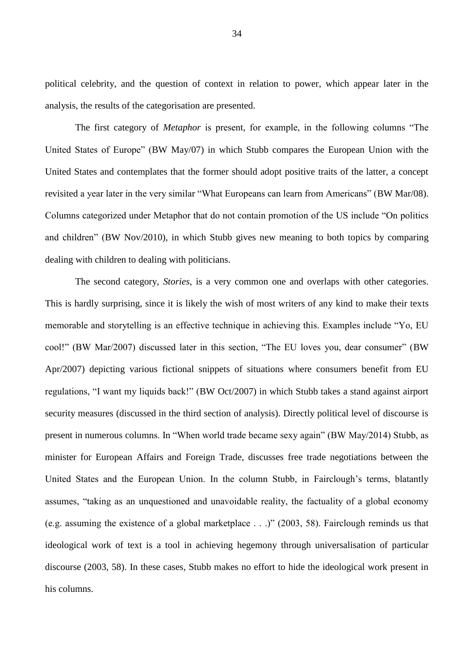political celebrity, and the question of context in relation to power, which appear later in the analysis, the results of the categorisation are presented.

The first category of *Metaphor* is present, for example, in the following columns "The United States of Europe" (BW May/07) in which Stubb compares the European Union with the United States and contemplates that the former should adopt positive traits of the latter, a concept revisited a year later in the very similar "What Europeans can learn from Americans" (BW Mar/08). Columns categorized under Metaphor that do not contain promotion of the US include "On politics and children" (BW Nov/2010), in which Stubb gives new meaning to both topics by comparing dealing with children to dealing with politicians.

The second category, *Stories*, is a very common one and overlaps with other categories. This is hardly surprising, since it is likely the wish of most writers of any kind to make their texts memorable and storytelling is an effective technique in achieving this. Examples include "Yo, EU cool!" (BW Mar/2007) discussed later in this section, "The EU loves you, dear consumer" (BW Apr/2007) depicting various fictional snippets of situations where consumers benefit from EU regulations, "I want my liquids back!" (BW Oct/2007) in which Stubb takes a stand against airport security measures (discussed in the third section of analysis). Directly political level of discourse is present in numerous columns. In "When world trade became sexy again" (BW May/2014) Stubb, as minister for European Affairs and Foreign Trade, discusses free trade negotiations between the United States and the European Union. In the column Stubb, in Fairclough's terms, blatantly assumes, "taking as an unquestioned and unavoidable reality, the factuality of a global economy (e.g. assuming the existence of a global marketplace . . .)" (2003, 58). Fairclough reminds us that ideological work of text is a tool in achieving hegemony through universalisation of particular discourse (2003, 58). In these cases, Stubb makes no effort to hide the ideological work present in his columns.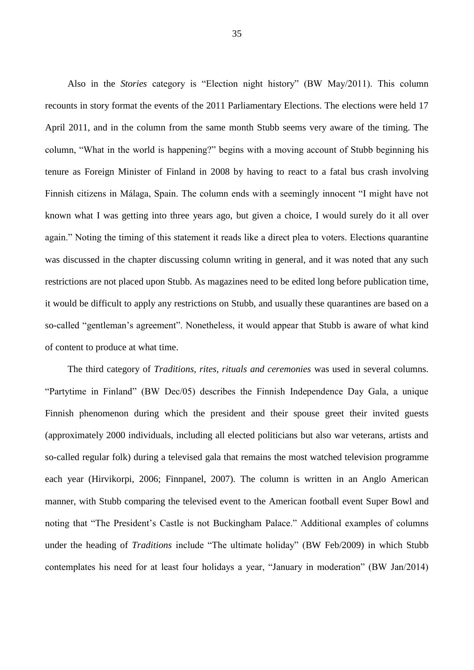Also in the *Stories* category is "Election night history" (BW May/2011). This column recounts in story format the events of the 2011 Parliamentary Elections. The elections were held 17 April 2011, and in the column from the same month Stubb seems very aware of the timing. The column, "What in the world is happening?" begins with a moving account of Stubb beginning his tenure as Foreign Minister of Finland in 2008 by having to react to a fatal bus crash involving Finnish citizens in Málaga, Spain. The column ends with a seemingly innocent "I might have not known what I was getting into three years ago, but given a choice, I would surely do it all over again." Noting the timing of this statement it reads like a direct plea to voters. Elections quarantine was discussed in the chapter discussing column writing in general, and it was noted that any such restrictions are not placed upon Stubb. As magazines need to be edited long before publication time, it would be difficult to apply any restrictions on Stubb, and usually these quarantines are based on a so-called "gentleman's agreement". Nonetheless, it would appear that Stubb is aware of what kind of content to produce at what time.

The third category of *Traditions, rites, rituals and ceremonies* was used in several columns. "Partytime in Finland" (BW Dec/05) describes the Finnish Independence Day Gala, a unique Finnish phenomenon during which the president and their spouse greet their invited guests (approximately 2000 individuals, including all elected politicians but also war veterans, artists and so-called regular folk) during a televised gala that remains the most watched television programme each year (Hirvikorpi, 2006; Finnpanel, 2007). The column is written in an Anglo American manner, with Stubb comparing the televised event to the American football event Super Bowl and noting that "The President's Castle is not Buckingham Palace." Additional examples of columns under the heading of *Traditions* include "The ultimate holiday" (BW Feb/2009) in which Stubb contemplates his need for at least four holidays a year, "January in moderation" (BW Jan/2014)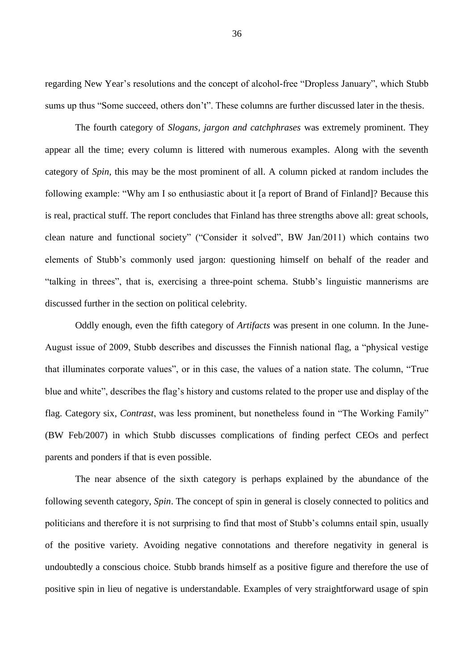regarding New Year's resolutions and the concept of alcohol-free "Dropless January", which Stubb sums up thus "Some succeed, others don't". These columns are further discussed later in the thesis.

The fourth category of *Slogans, jargon and catchphrases* was extremely prominent. They appear all the time; every column is littered with numerous examples. Along with the seventh category of *Spin*, this may be the most prominent of all. A column picked at random includes the following example: "Why am I so enthusiastic about it [a report of Brand of Finland]? Because this is real, practical stuff. The report concludes that Finland has three strengths above all: great schools, clean nature and functional society" ("Consider it solved", BW Jan/2011) which contains two elements of Stubb's commonly used jargon: questioning himself on behalf of the reader and "talking in threes", that is, exercising a three-point schema. Stubb's linguistic mannerisms are discussed further in the section on political celebrity.

Oddly enough, even the fifth category of *Artifacts* was present in one column. In the June-August issue of 2009, Stubb describes and discusses the Finnish national flag, a "physical vestige that illuminates corporate values", or in this case, the values of a nation state. The column, "True blue and white", describes the flag's history and customs related to the proper use and display of the flag. Category six, *Contrast*, was less prominent, but nonetheless found in "The Working Family" (BW Feb/2007) in which Stubb discusses complications of finding perfect CEOs and perfect parents and ponders if that is even possible.

The near absence of the sixth category is perhaps explained by the abundance of the following seventh category, *Spin*. The concept of spin in general is closely connected to politics and politicians and therefore it is not surprising to find that most of Stubb's columns entail spin, usually of the positive variety. Avoiding negative connotations and therefore negativity in general is undoubtedly a conscious choice. Stubb brands himself as a positive figure and therefore the use of positive spin in lieu of negative is understandable. Examples of very straightforward usage of spin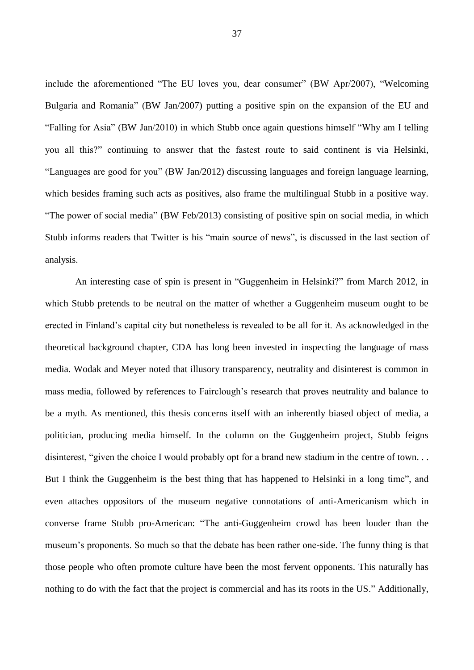include the aforementioned "The EU loves you, dear consumer" (BW Apr/2007), "Welcoming Bulgaria and Romania" (BW Jan/2007) putting a positive spin on the expansion of the EU and "Falling for Asia" (BW Jan/2010) in which Stubb once again questions himself "Why am I telling you all this?" continuing to answer that the fastest route to said continent is via Helsinki, "Languages are good for you" (BW Jan/2012) discussing languages and foreign language learning, which besides framing such acts as positives, also frame the multilingual Stubb in a positive way. "The power of social media" (BW Feb/2013) consisting of positive spin on social media, in which Stubb informs readers that Twitter is his "main source of news", is discussed in the last section of analysis.

An interesting case of spin is present in "Guggenheim in Helsinki?" from March 2012, in which Stubb pretends to be neutral on the matter of whether a Guggenheim museum ought to be erected in Finland's capital city but nonetheless is revealed to be all for it. As acknowledged in the theoretical background chapter, CDA has long been invested in inspecting the language of mass media. Wodak and Meyer noted that illusory transparency, neutrality and disinterest is common in mass media, followed by references to Fairclough's research that proves neutrality and balance to be a myth. As mentioned, this thesis concerns itself with an inherently biased object of media, a politician, producing media himself. In the column on the Guggenheim project, Stubb feigns disinterest, "given the choice I would probably opt for a brand new stadium in the centre of town... But I think the Guggenheim is the best thing that has happened to Helsinki in a long time", and even attaches oppositors of the museum negative connotations of anti-Americanism which in converse frame Stubb pro-American: "The anti-Guggenheim crowd has been louder than the museum's proponents. So much so that the debate has been rather one-side. The funny thing is that those people who often promote culture have been the most fervent opponents. This naturally has nothing to do with the fact that the project is commercial and has its roots in the US." Additionally,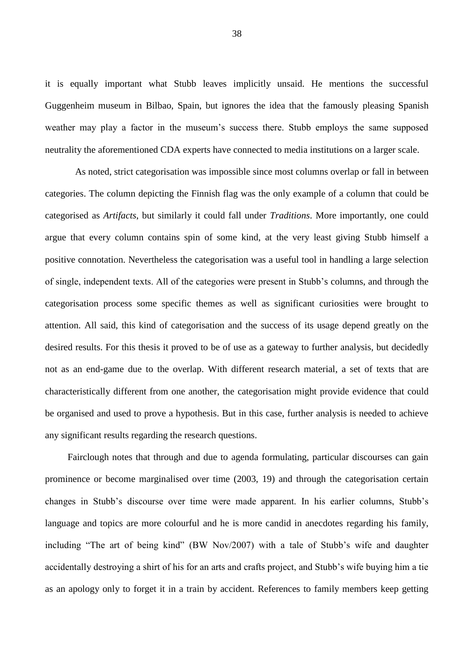it is equally important what Stubb leaves implicitly unsaid. He mentions the successful Guggenheim museum in Bilbao, Spain, but ignores the idea that the famously pleasing Spanish weather may play a factor in the museum's success there. Stubb employs the same supposed neutrality the aforementioned CDA experts have connected to media institutions on a larger scale.

As noted, strict categorisation was impossible since most columns overlap or fall in between categories. The column depicting the Finnish flag was the only example of a column that could be categorised as *Artifacts*, but similarly it could fall under *Traditions*. More importantly, one could argue that every column contains spin of some kind, at the very least giving Stubb himself a positive connotation. Nevertheless the categorisation was a useful tool in handling a large selection of single, independent texts. All of the categories were present in Stubb's columns, and through the categorisation process some specific themes as well as significant curiosities were brought to attention. All said, this kind of categorisation and the success of its usage depend greatly on the desired results. For this thesis it proved to be of use as a gateway to further analysis, but decidedly not as an end-game due to the overlap. With different research material, a set of texts that are characteristically different from one another, the categorisation might provide evidence that could be organised and used to prove a hypothesis. But in this case, further analysis is needed to achieve any significant results regarding the research questions.

Fairclough notes that through and due to agenda formulating, particular discourses can gain prominence or become marginalised over time (2003, 19) and through the categorisation certain changes in Stubb's discourse over time were made apparent. In his earlier columns, Stubb's language and topics are more colourful and he is more candid in anecdotes regarding his family, including "The art of being kind" (BW Nov/2007) with a tale of Stubb's wife and daughter accidentally destroying a shirt of his for an arts and crafts project, and Stubb's wife buying him a tie as an apology only to forget it in a train by accident. References to family members keep getting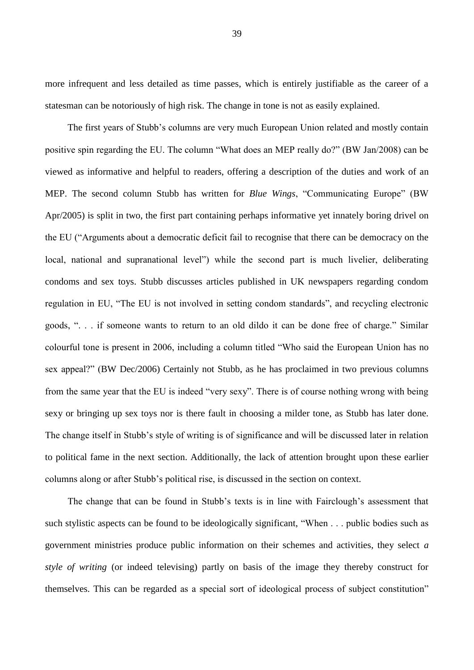more infrequent and less detailed as time passes, which is entirely justifiable as the career of a statesman can be notoriously of high risk. The change in tone is not as easily explained.

The first years of Stubb's columns are very much European Union related and mostly contain positive spin regarding the EU. The column "What does an MEP really do?" (BW Jan/2008) can be viewed as informative and helpful to readers, offering a description of the duties and work of an MEP. The second column Stubb has written for *Blue Wings*, "Communicating Europe" (BW Apr/2005) is split in two, the first part containing perhaps informative yet innately boring drivel on the EU ("Arguments about a democratic deficit fail to recognise that there can be democracy on the local, national and supranational level") while the second part is much livelier, deliberating condoms and sex toys. Stubb discusses articles published in UK newspapers regarding condom regulation in EU, "The EU is not involved in setting condom standards", and recycling electronic goods, ". . . if someone wants to return to an old dildo it can be done free of charge." Similar colourful tone is present in 2006, including a column titled "Who said the European Union has no sex appeal?" (BW Dec/2006) Certainly not Stubb, as he has proclaimed in two previous columns from the same year that the EU is indeed "very sexy". There is of course nothing wrong with being sexy or bringing up sex toys nor is there fault in choosing a milder tone, as Stubb has later done. The change itself in Stubb's style of writing is of significance and will be discussed later in relation to political fame in the next section. Additionally, the lack of attention brought upon these earlier columns along or after Stubb's political rise, is discussed in the section on context.

The change that can be found in Stubb's texts is in line with Fairclough's assessment that such stylistic aspects can be found to be ideologically significant, "When . . . public bodies such as government ministries produce public information on their schemes and activities, they select *a style of writing* (or indeed televising) partly on basis of the image they thereby construct for themselves. This can be regarded as a special sort of ideological process of subject constitution"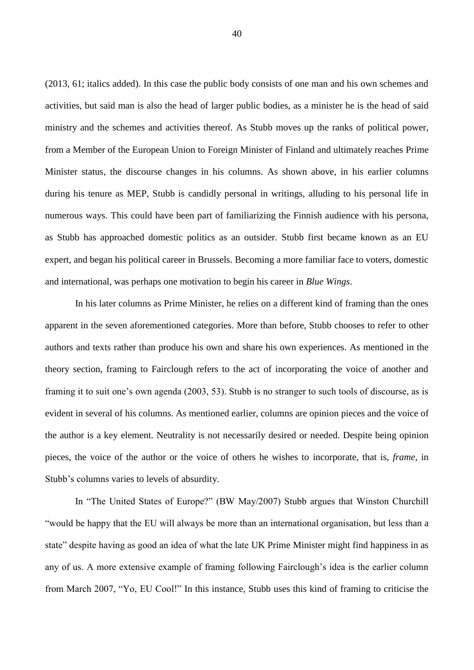(2013, 61; italics added). In this case the public body consists of one man and his own schemes and activities, but said man is also the head of larger public bodies, as a minister he is the head of said ministry and the schemes and activities thereof. As Stubb moves up the ranks of political power, from a Member of the European Union to Foreign Minister of Finland and ultimately reaches Prime Minister status, the discourse changes in his columns. As shown above, in his earlier columns during his tenure as MEP, Stubb is candidly personal in writings, alluding to his personal life in numerous ways. This could have been part of familiarizing the Finnish audience with his persona, as Stubb has approached domestic politics as an outsider. Stubb first became known as an EU expert, and began his political career in Brussels. Becoming a more familiar face to voters, domestic and international, was perhaps one motivation to begin his career in *Blue Wings*.

In his later columns as Prime Minister, he relies on a different kind of framing than the ones apparent in the seven aforementioned categories. More than before, Stubb chooses to refer to other authors and texts rather than produce his own and share his own experiences. As mentioned in the theory section, framing to Fairclough refers to the act of incorporating the voice of another and framing it to suit one's own agenda (2003, 53). Stubb is no stranger to such tools of discourse, as is evident in several of his columns. As mentioned earlier, columns are opinion pieces and the voice of the author is a key element. Neutrality is not necessarily desired or needed. Despite being opinion pieces, the voice of the author or the voice of others he wishes to incorporate, that is, *frame*, in Stubb's columns varies to levels of absurdity.

In "The United States of Europe?" (BW May/2007) Stubb argues that Winston Churchill "would be happy that the EU will always be more than an international organisation, but less than a state" despite having as good an idea of what the late UK Prime Minister might find happiness in as any of us. A more extensive example of framing following Fairclough's idea is the earlier column from March 2007, "Yo, EU Cool!" In this instance, Stubb uses this kind of framing to criticise the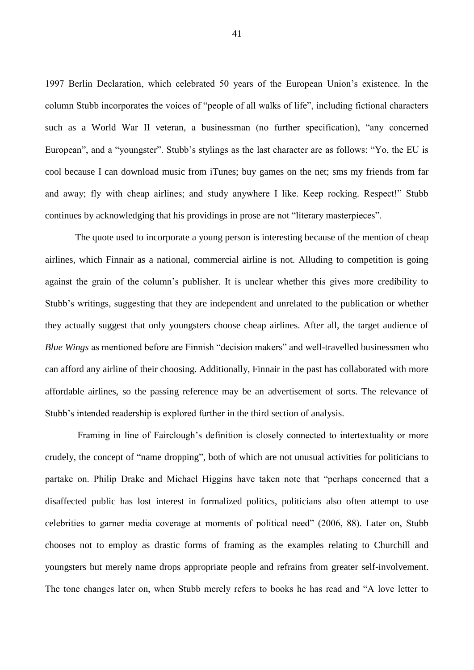1997 Berlin Declaration, which celebrated 50 years of the European Union's existence. In the column Stubb incorporates the voices of "people of all walks of life", including fictional characters such as a World War II veteran, a businessman (no further specification), "any concerned European", and a "youngster". Stubb's stylings as the last character are as follows: "Yo, the EU is cool because I can download music from iTunes; buy games on the net; sms my friends from far and away; fly with cheap airlines; and study anywhere I like. Keep rocking. Respect!" Stubb continues by acknowledging that his providings in prose are not "literary masterpieces".

The quote used to incorporate a young person is interesting because of the mention of cheap airlines, which Finnair as a national, commercial airline is not. Alluding to competition is going against the grain of the column's publisher. It is unclear whether this gives more credibility to Stubb's writings, suggesting that they are independent and unrelated to the publication or whether they actually suggest that only youngsters choose cheap airlines. After all, the target audience of *Blue Wings* as mentioned before are Finnish "decision makers" and well-travelled businessmen who can afford any airline of their choosing. Additionally, Finnair in the past has collaborated with more affordable airlines, so the passing reference may be an advertisement of sorts. The relevance of Stubb's intended readership is explored further in the third section of analysis.

Framing in line of Fairclough's definition is closely connected to intertextuality or more crudely, the concept of "name dropping", both of which are not unusual activities for politicians to partake on. Philip Drake and Michael Higgins have taken note that "perhaps concerned that a disaffected public has lost interest in formalized politics, politicians also often attempt to use celebrities to garner media coverage at moments of political need" (2006, 88). Later on, Stubb chooses not to employ as drastic forms of framing as the examples relating to Churchill and youngsters but merely name drops appropriate people and refrains from greater self-involvement. The tone changes later on, when Stubb merely refers to books he has read and "A love letter to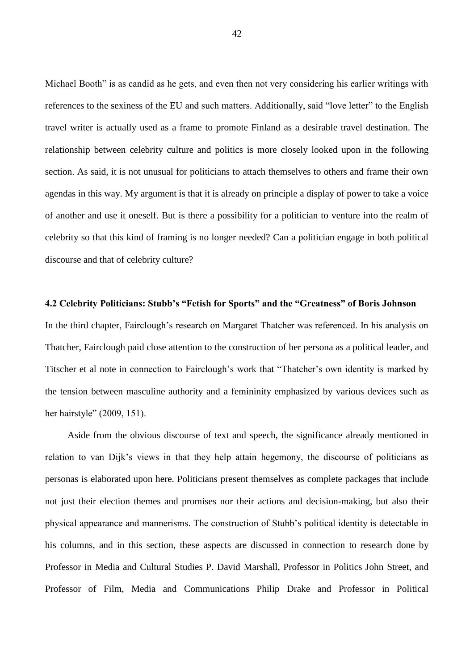Michael Booth" is as candid as he gets, and even then not very considering his earlier writings with references to the sexiness of the EU and such matters. Additionally, said "love letter" to the English travel writer is actually used as a frame to promote Finland as a desirable travel destination. The relationship between celebrity culture and politics is more closely looked upon in the following section. As said, it is not unusual for politicians to attach themselves to others and frame their own agendas in this way. My argument is that it is already on principle a display of power to take a voice of another and use it oneself. But is there a possibility for a politician to venture into the realm of celebrity so that this kind of framing is no longer needed? Can a politician engage in both political discourse and that of celebrity culture?

## **4.2 Celebrity Politicians: Stubb's "Fetish for Sports" and the "Greatness" of Boris Johnson**

In the third chapter, Fairclough's research on Margaret Thatcher was referenced. In his analysis on Thatcher, Fairclough paid close attention to the construction of her persona as a political leader, and Titscher et al note in connection to Fairclough's work that "Thatcher's own identity is marked by the tension between masculine authority and a femininity emphasized by various devices such as her hairstyle" (2009, 151).

Aside from the obvious discourse of text and speech, the significance already mentioned in relation to van Dijk's views in that they help attain hegemony, the discourse of politicians as personas is elaborated upon here. Politicians present themselves as complete packages that include not just their election themes and promises nor their actions and decision-making, but also their physical appearance and mannerisms. The construction of Stubb's political identity is detectable in his columns, and in this section, these aspects are discussed in connection to research done by Professor in Media and Cultural Studies P. David Marshall, Professor in Politics John Street, and Professor of Film, Media and Communications Philip Drake and Professor in Political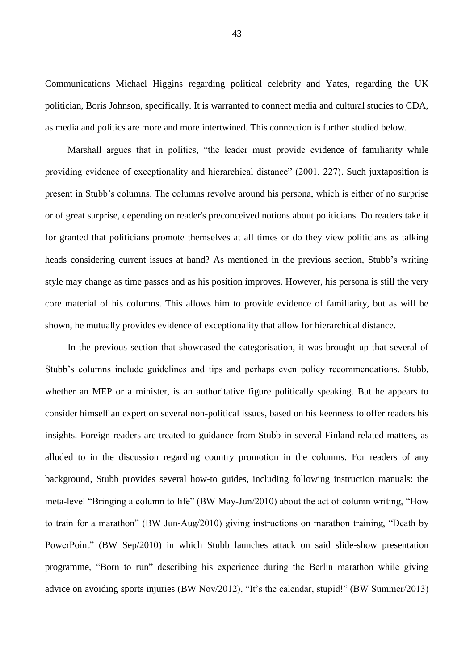Communications Michael Higgins regarding political celebrity and Yates, regarding the UK politician, Boris Johnson, specifically. It is warranted to connect media and cultural studies to CDA, as media and politics are more and more intertwined. This connection is further studied below.

Marshall argues that in politics, "the leader must provide evidence of familiarity while providing evidence of exceptionality and hierarchical distance" (2001, 227). Such juxtaposition is present in Stubb's columns. The columns revolve around his persona, which is either of no surprise or of great surprise, depending on reader's preconceived notions about politicians. Do readers take it for granted that politicians promote themselves at all times or do they view politicians as talking heads considering current issues at hand? As mentioned in the previous section, Stubb's writing style may change as time passes and as his position improves. However, his persona is still the very core material of his columns. This allows him to provide evidence of familiarity, but as will be shown, he mutually provides evidence of exceptionality that allow for hierarchical distance.

In the previous section that showcased the categorisation, it was brought up that several of Stubb's columns include guidelines and tips and perhaps even policy recommendations. Stubb, whether an MEP or a minister, is an authoritative figure politically speaking. But he appears to consider himself an expert on several non-political issues, based on his keenness to offer readers his insights. Foreign readers are treated to guidance from Stubb in several Finland related matters, as alluded to in the discussion regarding country promotion in the columns. For readers of any background, Stubb provides several how-to guides, including following instruction manuals: the meta-level "Bringing a column to life" (BW May-Jun/2010) about the act of column writing, "How to train for a marathon" (BW Jun-Aug/2010) giving instructions on marathon training, "Death by PowerPoint" (BW Sep/2010) in which Stubb launches attack on said slide-show presentation programme, "Born to run" describing his experience during the Berlin marathon while giving advice on avoiding sports injuries (BW Nov/2012), "It's the calendar, stupid!" (BW Summer/2013)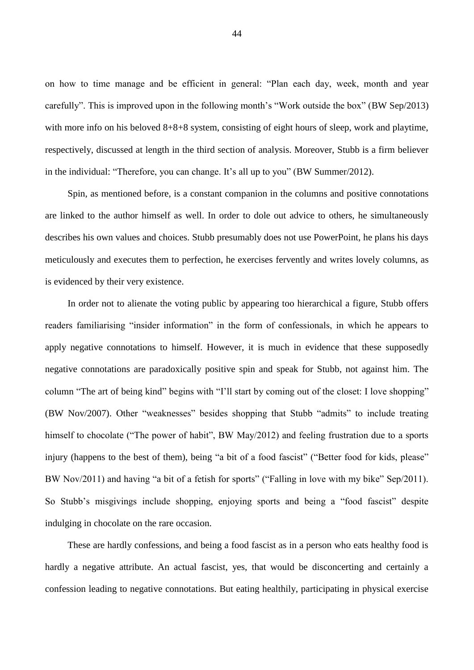on how to time manage and be efficient in general: "Plan each day, week, month and year carefully". This is improved upon in the following month's "Work outside the box" (BW Sep/2013) with more info on his beloved  $8+8+8$  system, consisting of eight hours of sleep, work and playtime, respectively, discussed at length in the third section of analysis. Moreover, Stubb is a firm believer in the individual: "Therefore, you can change. It's all up to you" (BW Summer/2012).

Spin, as mentioned before, is a constant companion in the columns and positive connotations are linked to the author himself as well. In order to dole out advice to others, he simultaneously describes his own values and choices. Stubb presumably does not use PowerPoint, he plans his days meticulously and executes them to perfection, he exercises fervently and writes lovely columns, as is evidenced by their very existence.

In order not to alienate the voting public by appearing too hierarchical a figure, Stubb offers readers familiarising "insider information" in the form of confessionals, in which he appears to apply negative connotations to himself. However, it is much in evidence that these supposedly negative connotations are paradoxically positive spin and speak for Stubb, not against him. The column "The art of being kind" begins with "I'll start by coming out of the closet: I love shopping" (BW Nov/2007). Other "weaknesses" besides shopping that Stubb "admits" to include treating himself to chocolate ("The power of habit", BW May/2012) and feeling frustration due to a sports injury (happens to the best of them), being "a bit of a food fascist" ("Better food for kids, please" BW Nov/2011) and having "a bit of a fetish for sports" ("Falling in love with my bike" Sep/2011). So Stubb's misgivings include shopping, enjoying sports and being a "food fascist" despite indulging in chocolate on the rare occasion.

These are hardly confessions, and being a food fascist as in a person who eats healthy food is hardly a negative attribute. An actual fascist, yes, that would be disconcerting and certainly a confession leading to negative connotations. But eating healthily, participating in physical exercise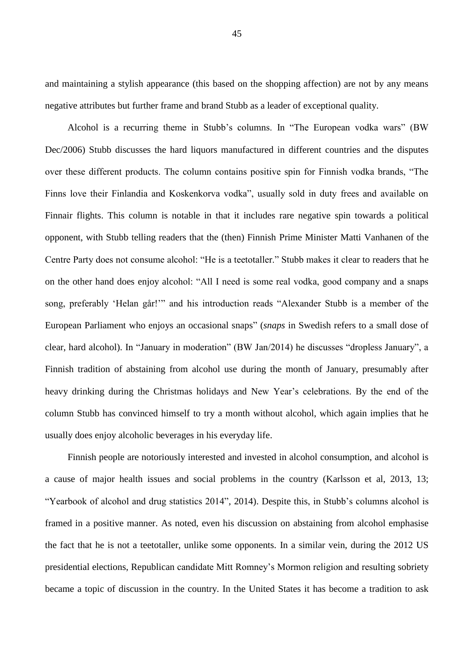and maintaining a stylish appearance (this based on the shopping affection) are not by any means negative attributes but further frame and brand Stubb as a leader of exceptional quality.

Alcohol is a recurring theme in Stubb's columns. In "The European vodka wars" (BW Dec/2006) Stubb discusses the hard liquors manufactured in different countries and the disputes over these different products. The column contains positive spin for Finnish vodka brands, "The Finns love their Finlandia and Koskenkorva vodka", usually sold in duty frees and available on Finnair flights. This column is notable in that it includes rare negative spin towards a political opponent, with Stubb telling readers that the (then) Finnish Prime Minister Matti Vanhanen of the Centre Party does not consume alcohol: "He is a teetotaller." Stubb makes it clear to readers that he on the other hand does enjoy alcohol: "All I need is some real vodka, good company and a snaps song, preferably 'Helan går!'" and his introduction reads "Alexander Stubb is a member of the European Parliament who enjoys an occasional snaps" (*snaps* in Swedish refers to a small dose of clear, hard alcohol). In "January in moderation" (BW Jan/2014) he discusses "dropless January", a Finnish tradition of abstaining from alcohol use during the month of January, presumably after heavy drinking during the Christmas holidays and New Year's celebrations. By the end of the column Stubb has convinced himself to try a month without alcohol, which again implies that he usually does enjoy alcoholic beverages in his everyday life.

Finnish people are notoriously interested and invested in alcohol consumption, and alcohol is a cause of major health issues and social problems in the country (Karlsson et al, 2013, 13; "Yearbook of alcohol and drug statistics 2014", 2014). Despite this, in Stubb's columns alcohol is framed in a positive manner. As noted, even his discussion on abstaining from alcohol emphasise the fact that he is not a teetotaller, unlike some opponents. In a similar vein, during the 2012 US presidential elections, Republican candidate Mitt Romney's Mormon religion and resulting sobriety became a topic of discussion in the country. In the United States it has become a tradition to ask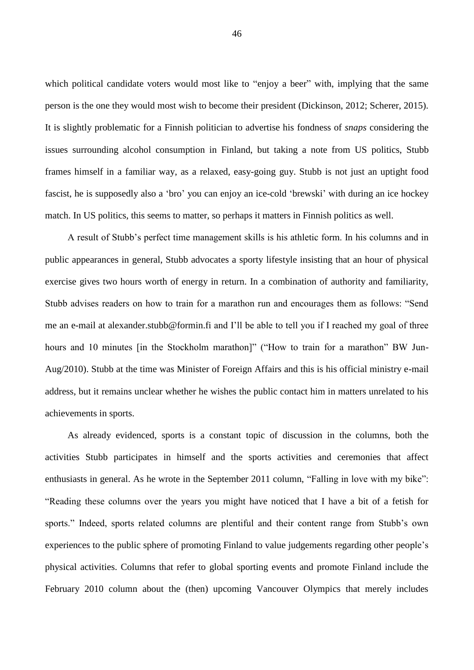which political candidate voters would most like to "enjoy a beer" with, implying that the same person is the one they would most wish to become their president (Dickinson, 2012; Scherer, 2015). It is slightly problematic for a Finnish politician to advertise his fondness of *snaps* considering the issues surrounding alcohol consumption in Finland, but taking a note from US politics, Stubb frames himself in a familiar way, as a relaxed, easy-going guy. Stubb is not just an uptight food fascist, he is supposedly also a 'bro' you can enjoy an ice-cold 'brewski' with during an ice hockey match. In US politics, this seems to matter, so perhaps it matters in Finnish politics as well.

A result of Stubb's perfect time management skills is his athletic form. In his columns and in public appearances in general, Stubb advocates a sporty lifestyle insisting that an hour of physical exercise gives two hours worth of energy in return. In a combination of authority and familiarity, Stubb advises readers on how to train for a marathon run and encourages them as follows: "Send me an e-mail at [alexander.stubb@formin.fi](mailto:alexanderstubb@formin.fi) and I'll be able to tell you if I reached my goal of three hours and 10 minutes [in the Stockholm marathon]" ("How to train for a marathon" BW Jun-Aug/2010). Stubb at the time was Minister of Foreign Affairs and this is his official ministry e-mail address, but it remains unclear whether he wishes the public contact him in matters unrelated to his achievements in sports.

As already evidenced, sports is a constant topic of discussion in the columns, both the activities Stubb participates in himself and the sports activities and ceremonies that affect enthusiasts in general. As he wrote in the September 2011 column, "Falling in love with my bike": "Reading these columns over the years you might have noticed that I have a bit of a fetish for sports." Indeed, sports related columns are plentiful and their content range from Stubb's own experiences to the public sphere of promoting Finland to value judgements regarding other people's physical activities. Columns that refer to global sporting events and promote Finland include the February 2010 column about the (then) upcoming Vancouver Olympics that merely includes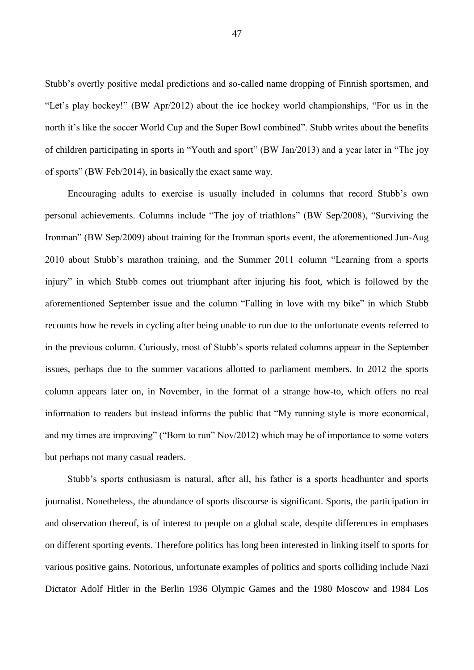Stubb's overtly positive medal predictions and so-called name dropping of Finnish sportsmen, and "Let's play hockey!" (BW Apr/2012) about the ice hockey world championships, "For us in the north it's like the soccer World Cup and the Super Bowl combined". Stubb writes about the benefits of children participating in sports in "Youth and sport" (BW Jan/2013) and a year later in "The joy of sports" (BW Feb/2014), in basically the exact same way.

Encouraging adults to exercise is usually included in columns that record Stubb's own personal achievements. Columns include "The joy of triathlons" (BW Sep/2008), "Surviving the Ironman" (BW Sep/2009) about training for the Ironman sports event, the aforementioned Jun-Aug 2010 about Stubb's marathon training, and the Summer 2011 column "Learning from a sports injury" in which Stubb comes out triumphant after injuring his foot, which is followed by the aforementioned September issue and the column "Falling in love with my bike" in which Stubb recounts how he revels in cycling after being unable to run due to the unfortunate events referred to in the previous column. Curiously, most of Stubb's sports related columns appear in the September issues, perhaps due to the summer vacations allotted to parliament members. In 2012 the sports column appears later on, in November, in the format of a strange how-to, which offers no real information to readers but instead informs the public that "My running style is more economical, and my times are improving" ("Born to run" Nov/2012) which may be of importance to some voters but perhaps not many casual readers.

Stubb's sports enthusiasm is natural, after all, his father is a sports headhunter and sports journalist. Nonetheless, the abundance of sports discourse is significant. Sports, the participation in and observation thereof, is of interest to people on a global scale, despite differences in emphases on different sporting events. Therefore politics has long been interested in linking itself to sports for various positive gains. Notorious, unfortunate examples of politics and sports colliding include Nazi Dictator Adolf Hitler in the Berlin 1936 Olympic Games and the 1980 Moscow and 1984 Los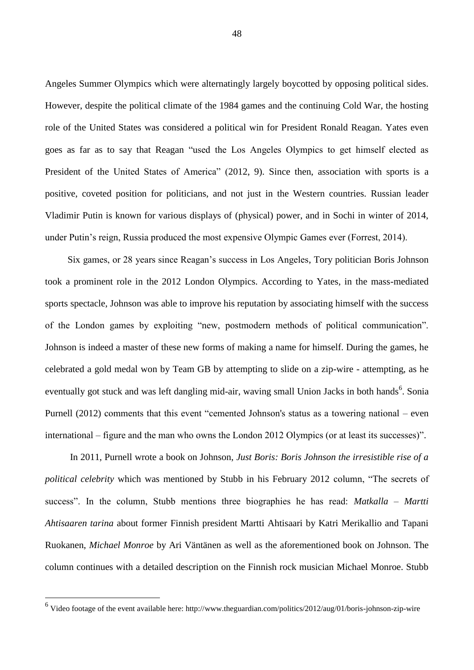Angeles Summer Olympics which were alternatingly largely boycotted by opposing political sides. However, despite the political climate of the 1984 games and the continuing Cold War, the hosting role of the United States was considered a political win for President Ronald Reagan. Yates even goes as far as to say that Reagan "used the Los Angeles Olympics to get himself elected as President of the United States of America" (2012, 9). Since then, association with sports is a positive, coveted position for politicians, and not just in the Western countries. Russian leader Vladimir Putin is known for various displays of (physical) power, and in Sochi in winter of 2014, under Putin's reign, Russia produced the most expensive Olympic Games ever (Forrest, 2014).

Six games, or 28 years since Reagan's success in Los Angeles, Tory politician Boris Johnson took a prominent role in the 2012 London Olympics. According to Yates, in the mass-mediated sports spectacle, Johnson was able to improve his reputation by associating himself with the success of the London games by exploiting "new, postmodern methods of political communication". Johnson is indeed a master of these new forms of making a name for himself. During the games, he celebrated a gold medal won by Team GB by attempting to slide on a zip-wire - attempting, as he eventually got stuck and was left dangling mid-air, waving small Union Jacks in both hands<sup>6</sup>. Sonia Purnell (2012) comments that this event "cemented Johnson's status as a towering national – even international – figure and the man who owns the London 2012 Olympics (or at least its successes)".

In 2011, Purnell wrote a book on Johnson, *Just Boris: Boris Johnson the irresistible rise of a political celebrity* which was mentioned by Stubb in his February 2012 column, "The secrets of success". In the column, Stubb mentions three biographies he has read: *Matkalla – Martti Ahtisaaren tarina* about former Finnish president Martti Ahtisaari by Katri Merikallio and Tapani Ruokanen, *Michael Monroe* by Ari Väntänen as well as the aforementioned book on Johnson. The column continues with a detailed description on the Finnish rock musician Michael Monroe. Stubb

 6 Video footage of the event available here: http://www.theguardian.com/politics/2012/aug/01/boris-johnson-zip-wire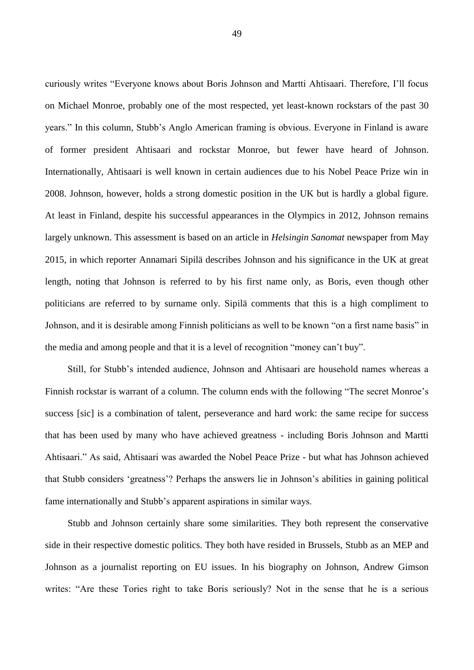curiously writes "Everyone knows about Boris Johnson and Martti Ahtisaari. Therefore, I'll focus on Michael Monroe, probably one of the most respected, yet least-known rockstars of the past 30 years." In this column, Stubb's Anglo American framing is obvious. Everyone in Finland is aware of former president Ahtisaari and rockstar Monroe, but fewer have heard of Johnson. Internationally, Ahtisaari is well known in certain audiences due to his Nobel Peace Prize win in 2008. Johnson, however, holds a strong domestic position in the UK but is hardly a global figure. At least in Finland, despite his successful appearances in the Olympics in 2012, Johnson remains largely unknown. This assessment is based on an article in *Helsingin Sanomat* newspaper from May 2015, in which reporter Annamari Sipilä describes Johnson and his significance in the UK at great length, noting that Johnson is referred to by his first name only, as Boris, even though other politicians are referred to by surname only. Sipilä comments that this is a high compliment to Johnson, and it is desirable among Finnish politicians as well to be known "on a first name basis" in the media and among people and that it is a level of recognition "money can't buy".

Still, for Stubb's intended audience, Johnson and Ahtisaari are household names whereas a Finnish rockstar is warrant of a column. The column ends with the following "The secret Monroe's success [sic] is a combination of talent, perseverance and hard work: the same recipe for success that has been used by many who have achieved greatness - including Boris Johnson and Martti Ahtisaari." As said, Ahtisaari was awarded the Nobel Peace Prize - but what has Johnson achieved that Stubb considers 'greatness'? Perhaps the answers lie in Johnson's abilities in gaining political fame internationally and Stubb's apparent aspirations in similar ways.

Stubb and Johnson certainly share some similarities. They both represent the conservative side in their respective domestic politics. They both have resided in Brussels, Stubb as an MEP and Johnson as a journalist reporting on EU issues. In his biography on Johnson, Andrew Gimson writes: "Are these Tories right to take Boris seriously? Not in the sense that he is a serious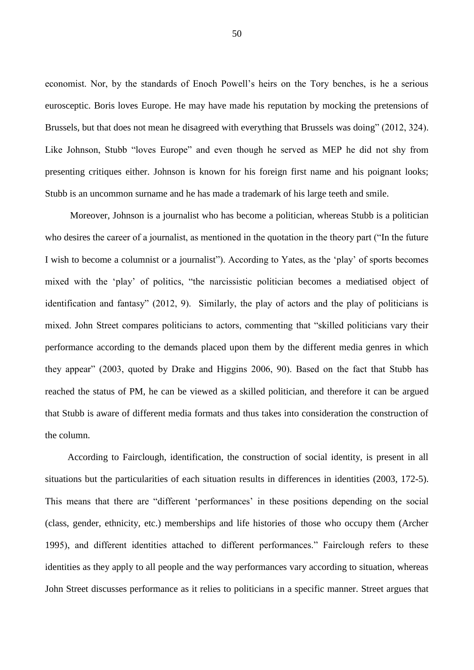economist. Nor, by the standards of Enoch Powell's heirs on the Tory benches, is he a serious eurosceptic. Boris loves Europe. He may have made his reputation by mocking the pretensions of Brussels, but that does not mean he disagreed with everything that Brussels was doing" (2012, 324). Like Johnson, Stubb "loves Europe" and even though he served as MEP he did not shy from presenting critiques either. Johnson is known for his foreign first name and his poignant looks; Stubb is an uncommon surname and he has made a trademark of his large teeth and smile.

Moreover, Johnson is a journalist who has become a politician, whereas Stubb is a politician who desires the career of a journalist, as mentioned in the quotation in the theory part ("In the future I wish to become a columnist or a journalist"). According to Yates, as the 'play' of sports becomes mixed with the 'play' of politics, "the narcissistic politician becomes a mediatised object of identification and fantasy" (2012, 9). Similarly, the play of actors and the play of politicians is mixed. John Street compares politicians to actors, commenting that "skilled politicians vary their performance according to the demands placed upon them by the different media genres in which they appear" (2003, quoted by Drake and Higgins 2006, 90). Based on the fact that Stubb has reached the status of PM, he can be viewed as a skilled politician, and therefore it can be argued that Stubb is aware of different media formats and thus takes into consideration the construction of the column.

According to Fairclough, identification, the construction of social identity, is present in all situations but the particularities of each situation results in differences in identities (2003, 172-5). This means that there are "different 'performances' in these positions depending on the social (class, gender, ethnicity, etc.) memberships and life histories of those who occupy them (Archer 1995), and different identities attached to different performances." Fairclough refers to these identities as they apply to all people and the way performances vary according to situation, whereas John Street discusses performance as it relies to politicians in a specific manner. Street argues that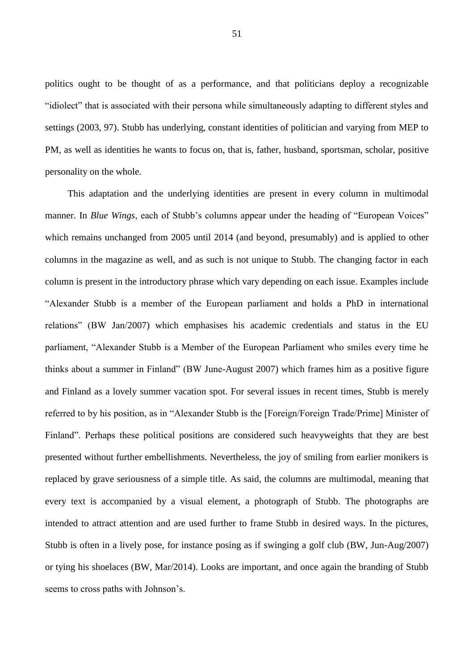politics ought to be thought of as a performance, and that politicians deploy a recognizable "idiolect" that is associated with their persona while simultaneously adapting to different styles and settings (2003, 97). Stubb has underlying, constant identities of politician and varying from MEP to PM, as well as identities he wants to focus on, that is, father, husband, sportsman, scholar, positive personality on the whole.

This adaptation and the underlying identities are present in every column in multimodal manner. In *Blue Wings*, each of Stubb's columns appear under the heading of "European Voices" which remains unchanged from 2005 until 2014 (and beyond, presumably) and is applied to other columns in the magazine as well, and as such is not unique to Stubb. The changing factor in each column is present in the introductory phrase which vary depending on each issue. Examples include "Alexander Stubb is a member of the European parliament and holds a PhD in international relations" (BW Jan/2007) which emphasises his academic credentials and status in the EU parliament, "Alexander Stubb is a Member of the European Parliament who smiles every time he thinks about a summer in Finland" (BW June-August 2007) which frames him as a positive figure and Finland as a lovely summer vacation spot. For several issues in recent times, Stubb is merely referred to by his position, as in "Alexander Stubb is the [Foreign/Foreign Trade/Prime] Minister of Finland". Perhaps these political positions are considered such heavyweights that they are best presented without further embellishments. Nevertheless, the joy of smiling from earlier monikers is replaced by grave seriousness of a simple title. As said, the columns are multimodal, meaning that every text is accompanied by a visual element, a photograph of Stubb. The photographs are intended to attract attention and are used further to frame Stubb in desired ways. In the pictures, Stubb is often in a lively pose, for instance posing as if swinging a golf club (BW, Jun-Aug/2007) or tying his shoelaces (BW, Mar/2014). Looks are important, and once again the branding of Stubb seems to cross paths with Johnson's.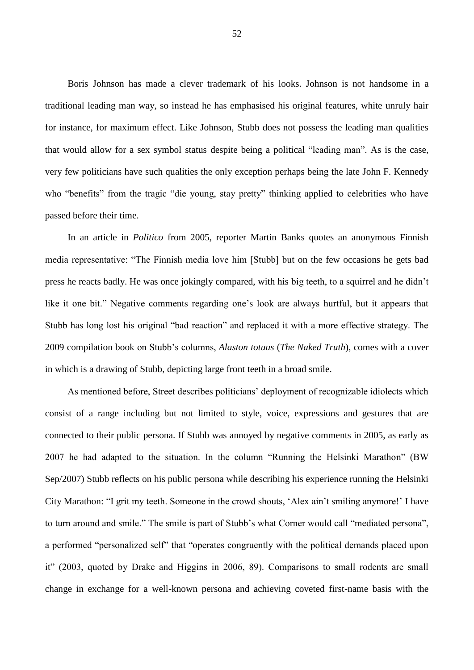Boris Johnson has made a clever trademark of his looks. Johnson is not handsome in a traditional leading man way, so instead he has emphasised his original features, white unruly hair for instance, for maximum effect. Like Johnson, Stubb does not possess the leading man qualities that would allow for a sex symbol status despite being a political "leading man". As is the case, very few politicians have such qualities the only exception perhaps being the late John F. Kennedy who "benefits" from the tragic "die young, stay pretty" thinking applied to celebrities who have passed before their time.

In an article in *Politico* from 2005, reporter Martin Banks quotes an anonymous Finnish media representative: "The Finnish media love him [Stubb] but on the few occasions he gets bad press he reacts badly. He was once jokingly compared, with his big teeth, to a squirrel and he didn't like it one bit." Negative comments regarding one's look are always hurtful, but it appears that Stubb has long lost his original "bad reaction" and replaced it with a more effective strategy. The 2009 compilation book on Stubb's columns, *Alaston totuus* (*The Naked Truth*), comes with a cover in which is a drawing of Stubb, depicting large front teeth in a broad smile.

As mentioned before, Street describes politicians' deployment of recognizable idiolects which consist of a range including but not limited to style, voice, expressions and gestures that are connected to their public persona. If Stubb was annoyed by negative comments in 2005, as early as 2007 he had adapted to the situation. In the column "Running the Helsinki Marathon" (BW Sep/2007) Stubb reflects on his public persona while describing his experience running the Helsinki City Marathon: "I grit my teeth. Someone in the crowd shouts, 'Alex ain't smiling anymore!' I have to turn around and smile." The smile is part of Stubb's what Corner would call "mediated persona", a performed "personalized self" that "operates congruently with the political demands placed upon it" (2003, quoted by Drake and Higgins in 2006, 89). Comparisons to small rodents are small change in exchange for a well-known persona and achieving coveted first-name basis with the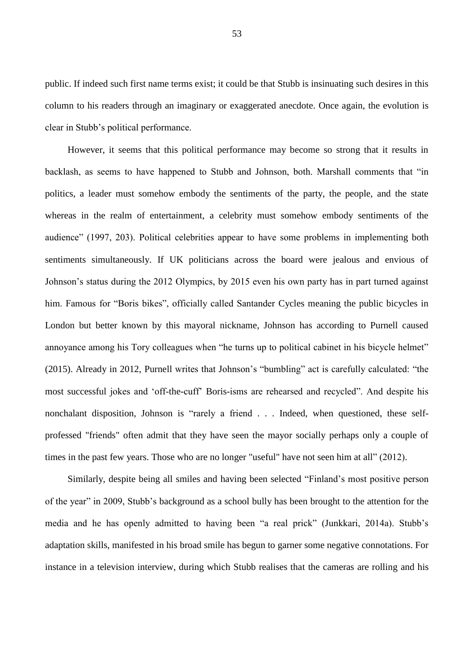public. If indeed such first name terms exist; it could be that Stubb is insinuating such desires in this column to his readers through an imaginary or exaggerated anecdote. Once again, the evolution is clear in Stubb's political performance.

However, it seems that this political performance may become so strong that it results in backlash, as seems to have happened to Stubb and Johnson, both. Marshall comments that "in politics, a leader must somehow embody the sentiments of the party, the people, and the state whereas in the realm of entertainment, a celebrity must somehow embody sentiments of the audience" (1997, 203). Political celebrities appear to have some problems in implementing both sentiments simultaneously. If UK politicians across the board were jealous and envious of Johnson's status during the 2012 Olympics, by 2015 even his own party has in part turned against him. Famous for "Boris bikes", officially called Santander Cycles meaning the public bicycles in London but better known by this mayoral nickname, Johnson has according to Purnell caused annoyance among his Tory colleagues when "he turns up to political cabinet in his bicycle helmet" (2015). Already in 2012, Purnell writes that Johnson's "bumbling" act is carefully calculated: "the most successful jokes and 'off-the-cuff' Boris-isms are rehearsed and recycled". And despite his nonchalant disposition, Johnson is "rarely a friend . . . Indeed, when questioned, these selfprofessed "friends" often admit that they have seen the mayor socially perhaps only a couple of times in the past few years. Those who are no longer "useful" have not seen him at all" (2012).

Similarly, despite being all smiles and having been selected "Finland's most positive person of the year" in 2009, Stubb's background as a school bully has been brought to the attention for the media and he has openly admitted to having been "a real prick" (Junkkari, 2014a). Stubb's adaptation skills, manifested in his broad smile has begun to garner some negative connotations. For instance in a television interview, during which Stubb realises that the cameras are rolling and his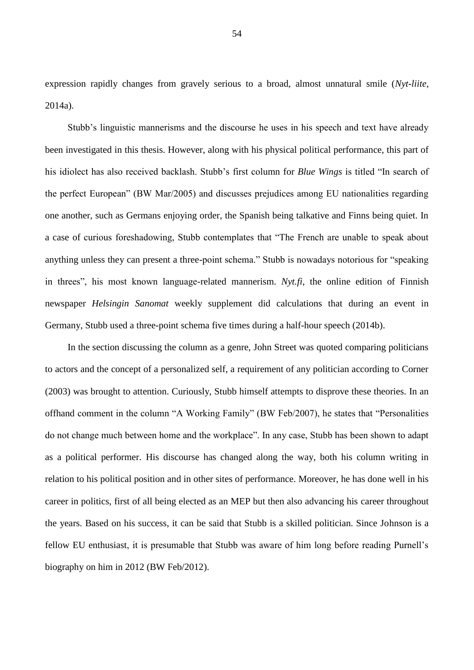expression rapidly changes from gravely serious to a broad, almost unnatural smile (*Nyt-liite*, 2014a).

Stubb's linguistic mannerisms and the discourse he uses in his speech and text have already been investigated in this thesis. However, along with his physical political performance, this part of his idiolect has also received backlash. Stubb's first column for *Blue Wings* is titled "In search of the perfect European" (BW Mar/2005) and discusses prejudices among EU nationalities regarding one another, such as Germans enjoying order, the Spanish being talkative and Finns being quiet. In a case of curious foreshadowing, Stubb contemplates that "The French are unable to speak about anything unless they can present a three-point schema." Stubb is nowadays notorious for "speaking in threes", his most known language-related mannerism. *Nyt.fi*, the online edition of Finnish newspaper *Helsingin Sanomat* weekly supplement did calculations that during an event in Germany, Stubb used a three-point schema five times during a half-hour speech (2014b).

In the section discussing the column as a genre, John Street was quoted comparing politicians to actors and the concept of a personalized self, a requirement of any politician according to Corner (2003) was brought to attention. Curiously, Stubb himself attempts to disprove these theories. In an offhand comment in the column "A Working Family" (BW Feb/2007), he states that "Personalities do not change much between home and the workplace". In any case, Stubb has been shown to adapt as a political performer. His discourse has changed along the way, both his column writing in relation to his political position and in other sites of performance. Moreover, he has done well in his career in politics, first of all being elected as an MEP but then also advancing his career throughout the years. Based on his success, it can be said that Stubb is a skilled politician. Since Johnson is a fellow EU enthusiast, it is presumable that Stubb was aware of him long before reading Purnell's biography on him in 2012 (BW Feb/2012).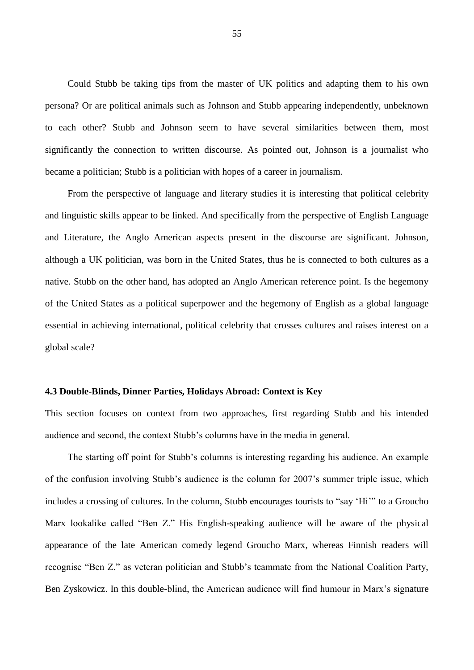Could Stubb be taking tips from the master of UK politics and adapting them to his own persona? Or are political animals such as Johnson and Stubb appearing independently, unbeknown to each other? Stubb and Johnson seem to have several similarities between them, most significantly the connection to written discourse. As pointed out, Johnson is a journalist who became a politician; Stubb is a politician with hopes of a career in journalism.

From the perspective of language and literary studies it is interesting that political celebrity and linguistic skills appear to be linked. And specifically from the perspective of English Language and Literature, the Anglo American aspects present in the discourse are significant. Johnson, although a UK politician, was born in the United States, thus he is connected to both cultures as a native. Stubb on the other hand, has adopted an Anglo American reference point. Is the hegemony of the United States as a political superpower and the hegemony of English as a global language essential in achieving international, political celebrity that crosses cultures and raises interest on a global scale?

## **4.3 Double-Blinds, Dinner Parties, Holidays Abroad: Context is Key**

This section focuses on context from two approaches, first regarding Stubb and his intended audience and second, the context Stubb's columns have in the media in general.

The starting off point for Stubb's columns is interesting regarding his audience. An example of the confusion involving Stubb's audience is the column for 2007's summer triple issue, which includes a crossing of cultures. In the column, Stubb encourages tourists to "say 'Hi'" to a Groucho Marx lookalike called "Ben Z." His English-speaking audience will be aware of the physical appearance of the late American comedy legend Groucho Marx, whereas Finnish readers will recognise "Ben Z." as veteran politician and Stubb's teammate from the National Coalition Party, Ben Zyskowicz. In this double-blind, the American audience will find humour in Marx's signature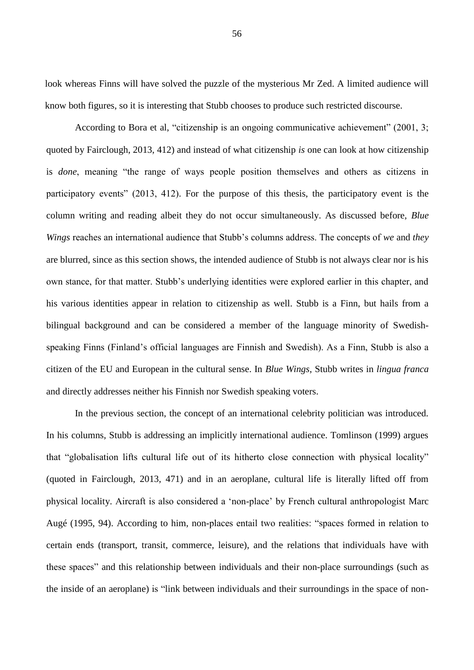look whereas Finns will have solved the puzzle of the mysterious Mr Zed. A limited audience will know both figures, so it is interesting that Stubb chooses to produce such restricted discourse.

According to Bora et al, "citizenship is an ongoing communicative achievement" (2001, 3; quoted by Fairclough, 2013, 412) and instead of what citizenship *is* one can look at how citizenship is *done*, meaning "the range of ways people position themselves and others as citizens in participatory events" (2013, 412). For the purpose of this thesis, the participatory event is the column writing and reading albeit they do not occur simultaneously. As discussed before, *Blue Wings* reaches an international audience that Stubb's columns address. The concepts of *we* and *they* are blurred, since as this section shows, the intended audience of Stubb is not always clear nor is his own stance, for that matter. Stubb's underlying identities were explored earlier in this chapter, and his various identities appear in relation to citizenship as well. Stubb is a Finn, but hails from a bilingual background and can be considered a member of the language minority of Swedishspeaking Finns (Finland's official languages are Finnish and Swedish). As a Finn, Stubb is also a citizen of the EU and European in the cultural sense. In *Blue Wings*, Stubb writes in *lingua franca* and directly addresses neither his Finnish nor Swedish speaking voters.

In the previous section, the concept of an international celebrity politician was introduced. In his columns, Stubb is addressing an implicitly international audience. Tomlinson (1999) argues that "globalisation lifts cultural life out of its hitherto close connection with physical locality" (quoted in Fairclough, 2013, 471) and in an aeroplane, cultural life is literally lifted off from physical locality. Aircraft is also considered a 'non-place' by French cultural anthropologist Marc Augé (1995, 94). According to him, non-places entail two realities: "spaces formed in relation to certain ends (transport, transit, commerce, leisure), and the relations that individuals have with these spaces" and this relationship between individuals and their non-place surroundings (such as the inside of an aeroplane) is "link between individuals and their surroundings in the space of non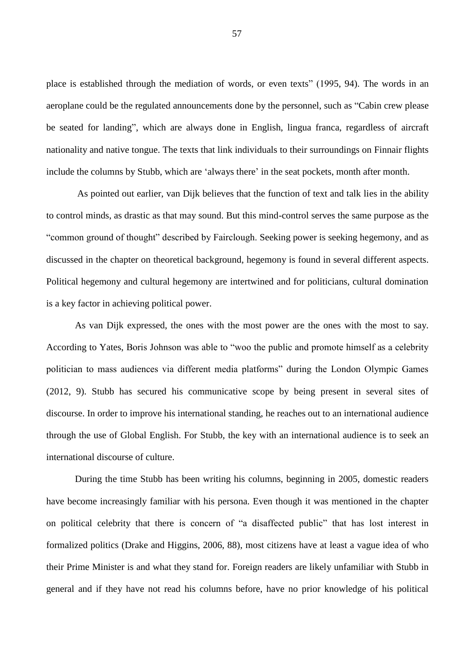place is established through the mediation of words, or even texts" (1995, 94). The words in an aeroplane could be the regulated announcements done by the personnel, such as "Cabin crew please be seated for landing", which are always done in English, lingua franca, regardless of aircraft nationality and native tongue. The texts that link individuals to their surroundings on Finnair flights include the columns by Stubb, which are 'always there' in the seat pockets, month after month.

As pointed out earlier, van Dijk believes that the function of text and talk lies in the ability to control minds, as drastic as that may sound. But this mind-control serves the same purpose as the "common ground of thought" described by Fairclough. Seeking power is seeking hegemony, and as discussed in the chapter on theoretical background, hegemony is found in several different aspects. Political hegemony and cultural hegemony are intertwined and for politicians, cultural domination is a key factor in achieving political power.

As van Dijk expressed, the ones with the most power are the ones with the most to say. According to Yates, Boris Johnson was able to "woo the public and promote himself as a celebrity politician to mass audiences via different media platforms" during the London Olympic Games (2012, 9). Stubb has secured his communicative scope by being present in several sites of discourse. In order to improve his international standing, he reaches out to an international audience through the use of Global English. For Stubb, the key with an international audience is to seek an international discourse of culture.

During the time Stubb has been writing his columns, beginning in 2005, domestic readers have become increasingly familiar with his persona. Even though it was mentioned in the chapter on political celebrity that there is concern of "a disaffected public" that has lost interest in formalized politics (Drake and Higgins, 2006, 88), most citizens have at least a vague idea of who their Prime Minister is and what they stand for. Foreign readers are likely unfamiliar with Stubb in general and if they have not read his columns before, have no prior knowledge of his political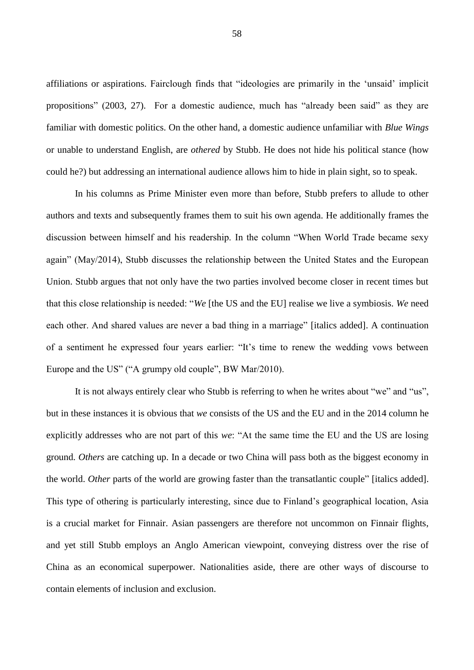affiliations or aspirations. Fairclough finds that "ideologies are primarily in the 'unsaid' implicit propositions" (2003, 27). For a domestic audience, much has "already been said" as they are familiar with domestic politics. On the other hand, a domestic audience unfamiliar with *Blue Wings* or unable to understand English, are *othered* by Stubb. He does not hide his political stance (how could he?) but addressing an international audience allows him to hide in plain sight, so to speak.

In his columns as Prime Minister even more than before, Stubb prefers to allude to other authors and texts and subsequently frames them to suit his own agenda. He additionally frames the discussion between himself and his readership. In the column "When World Trade became sexy again" (May/2014), Stubb discusses the relationship between the United States and the European Union. Stubb argues that not only have the two parties involved become closer in recent times but that this close relationship is needed: "*We* [the US and the EU] realise we live a symbiosis. *We* need each other. And shared values are never a bad thing in a marriage" [italics added]. A continuation of a sentiment he expressed four years earlier: "It's time to renew the wedding vows between Europe and the US" ("A grumpy old couple", BW Mar/2010).

It is not always entirely clear who Stubb is referring to when he writes about "we" and "us", but in these instances it is obvious that *we* consists of the US and the EU and in the 2014 column he explicitly addresses who are not part of this *we*: "At the same time the EU and the US are losing ground. *Others* are catching up. In a decade or two China will pass both as the biggest economy in the world. *Other* parts of the world are growing faster than the transatlantic couple" [italics added]. This type of othering is particularly interesting, since due to Finland's geographical location, Asia is a crucial market for Finnair. Asian passengers are therefore not uncommon on Finnair flights, and yet still Stubb employs an Anglo American viewpoint, conveying distress over the rise of China as an economical superpower. Nationalities aside, there are other ways of discourse to contain elements of inclusion and exclusion.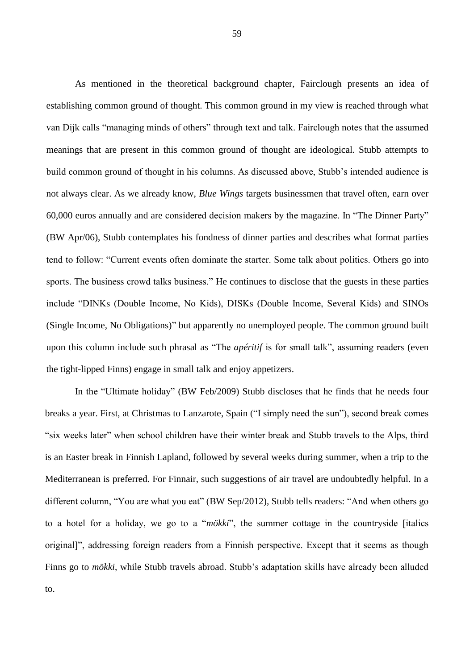As mentioned in the theoretical background chapter, Fairclough presents an idea of establishing common ground of thought. This common ground in my view is reached through what van Dijk calls "managing minds of others" through text and talk. Fairclough notes that the assumed meanings that are present in this common ground of thought are ideological. Stubb attempts to build common ground of thought in his columns. As discussed above, Stubb's intended audience is not always clear. As we already know, *Blue Wings* targets businessmen that travel often, earn over 60,000 euros annually and are considered decision makers by the magazine. In "The Dinner Party" (BW Apr/06), Stubb contemplates his fondness of dinner parties and describes what format parties tend to follow: "Current events often dominate the starter. Some talk about politics. Others go into sports. The business crowd talks business." He continues to disclose that the guests in these parties include "DINKs (Double Income, No Kids), DISKs (Double Income, Several Kids) and SINOs (Single Income, No Obligations)" but apparently no unemployed people. The common ground built upon this column include such phrasal as "The *apéritif* is for small talk", assuming readers (even the tight-lipped Finns) engage in small talk and enjoy appetizers.

In the "Ultimate holiday" (BW Feb/2009) Stubb discloses that he finds that he needs four breaks a year. First, at Christmas to Lanzarote, Spain ("I simply need the sun"), second break comes "six weeks later" when school children have their winter break and Stubb travels to the Alps, third is an Easter break in Finnish Lapland, followed by several weeks during summer, when a trip to the Mediterranean is preferred. For Finnair, such suggestions of air travel are undoubtedly helpful. In a different column, "You are what you eat" (BW Sep/2012), Stubb tells readers: "And when others go to a hotel for a holiday, we go to a "*mökki*", the summer cottage in the countryside [italics original]", addressing foreign readers from a Finnish perspective. Except that it seems as though Finns go to *mökki*, while Stubb travels abroad. Stubb's adaptation skills have already been alluded to.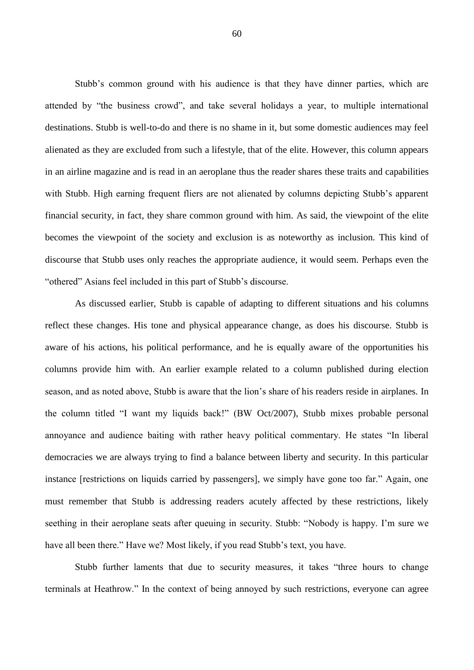Stubb's common ground with his audience is that they have dinner parties, which are attended by "the business crowd", and take several holidays a year, to multiple international destinations. Stubb is well-to-do and there is no shame in it, but some domestic audiences may feel alienated as they are excluded from such a lifestyle, that of the elite. However, this column appears in an airline magazine and is read in an aeroplane thus the reader shares these traits and capabilities with Stubb. High earning frequent fliers are not alienated by columns depicting Stubb's apparent financial security, in fact, they share common ground with him. As said, the viewpoint of the elite becomes the viewpoint of the society and exclusion is as noteworthy as inclusion. This kind of discourse that Stubb uses only reaches the appropriate audience, it would seem. Perhaps even the "othered" Asians feel included in this part of Stubb's discourse.

As discussed earlier, Stubb is capable of adapting to different situations and his columns reflect these changes. His tone and physical appearance change, as does his discourse. Stubb is aware of his actions, his political performance, and he is equally aware of the opportunities his columns provide him with. An earlier example related to a column published during election season, and as noted above, Stubb is aware that the lion's share of his readers reside in airplanes. In the column titled "I want my liquids back!" (BW Oct/2007), Stubb mixes probable personal annoyance and audience baiting with rather heavy political commentary. He states "In liberal democracies we are always trying to find a balance between liberty and security. In this particular instance [restrictions on liquids carried by passengers], we simply have gone too far." Again, one must remember that Stubb is addressing readers acutely affected by these restrictions, likely seething in their aeroplane seats after queuing in security. Stubb: "Nobody is happy. I'm sure we have all been there." Have we? Most likely, if you read Stubb's text, you have.

Stubb further laments that due to security measures, it takes "three hours to change terminals at Heathrow." In the context of being annoyed by such restrictions, everyone can agree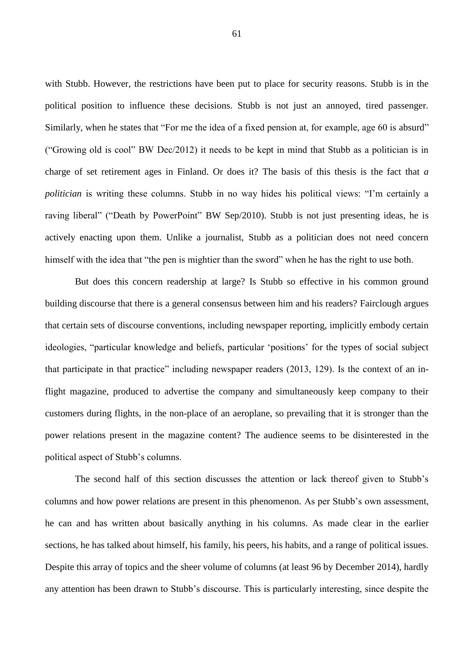with Stubb. However, the restrictions have been put to place for security reasons. Stubb is in the political position to influence these decisions. Stubb is not just an annoyed, tired passenger. Similarly, when he states that "For me the idea of a fixed pension at, for example, age 60 is absurd" ("Growing old is cool" BW Dec/2012) it needs to be kept in mind that Stubb as a politician is in charge of set retirement ages in Finland. Or does it? The basis of this thesis is the fact that *a politician* is writing these columns. Stubb in no way hides his political views: "I'm certainly a raving liberal" ("Death by PowerPoint" BW Sep/2010). Stubb is not just presenting ideas, he is actively enacting upon them. Unlike a journalist, Stubb as a politician does not need concern himself with the idea that "the pen is mightier than the sword" when he has the right to use both.

But does this concern readership at large? Is Stubb so effective in his common ground building discourse that there is a general consensus between him and his readers? Fairclough argues that certain sets of discourse conventions, including newspaper reporting, implicitly embody certain ideologies, "particular knowledge and beliefs, particular 'positions' for the types of social subject that participate in that practice" including newspaper readers (2013, 129). Is the context of an inflight magazine, produced to advertise the company and simultaneously keep company to their customers during flights, in the non-place of an aeroplane, so prevailing that it is stronger than the power relations present in the magazine content? The audience seems to be disinterested in the political aspect of Stubb's columns.

The second half of this section discusses the attention or lack thereof given to Stubb's columns and how power relations are present in this phenomenon. As per Stubb's own assessment, he can and has written about basically anything in his columns. As made clear in the earlier sections, he has talked about himself, his family, his peers, his habits, and a range of political issues. Despite this array of topics and the sheer volume of columns (at least 96 by December 2014), hardly any attention has been drawn to Stubb's discourse. This is particularly interesting, since despite the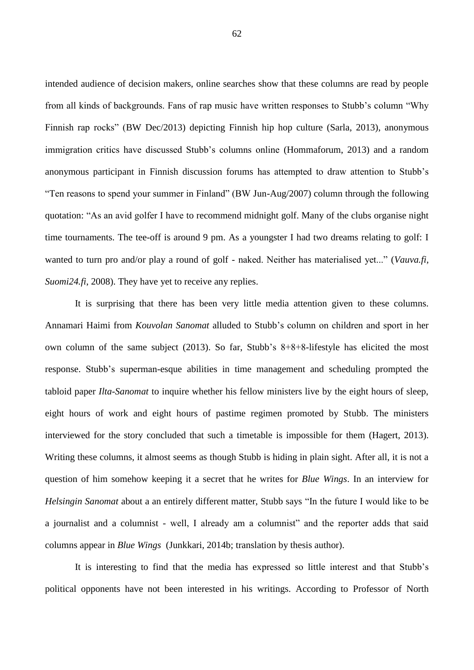intended audience of decision makers, online searches show that these columns are read by people from all kinds of backgrounds. Fans of rap music have written responses to Stubb's column "Why Finnish rap rocks" (BW Dec/2013) depicting Finnish hip hop culture (Sarla, 2013), anonymous immigration critics have discussed Stubb's columns online (Hommaforum, 2013) and a random anonymous participant in Finnish discussion forums has attempted to draw attention to Stubb's "Ten reasons to spend your summer in Finland" (BW Jun-Aug/2007) column through the following quotation: "As an avid golfer I have to recommend midnight golf. Many of the clubs organise night time tournaments. The tee-off is around 9 pm. As a youngster I had two dreams relating to golf: I wanted to turn pro and/or play a round of golf - naked. Neither has materialised yet..." (*Vauva.fi*, *Suomi24.fi*, 2008). They have yet to receive any replies.

It is surprising that there has been very little media attention given to these columns. Annamari Haimi from *Kouvolan Sanomat* alluded to Stubb's column on children and sport in her own column of the same subject (2013). So far, Stubb's 8+8+8-lifestyle has elicited the most response. Stubb's superman-esque abilities in time management and scheduling prompted the tabloid paper *Ilta-Sanomat* to inquire whether his fellow ministers live by the eight hours of sleep, eight hours of work and eight hours of pastime regimen promoted by Stubb. The ministers interviewed for the story concluded that such a timetable is impossible for them (Hagert, 2013). Writing these columns, it almost seems as though Stubb is hiding in plain sight. After all, it is not a question of him somehow keeping it a secret that he writes for *Blue Wings*. In an interview for *Helsingin Sanomat* about a an entirely different matter, Stubb says "In the future I would like to be a journalist and a columnist - well, I already am a columnist" and the reporter adds that said columns appear in *Blue Wings* (Junkkari, 2014b; translation by thesis author).

It is interesting to find that the media has expressed so little interest and that Stubb's political opponents have not been interested in his writings. According to Professor of North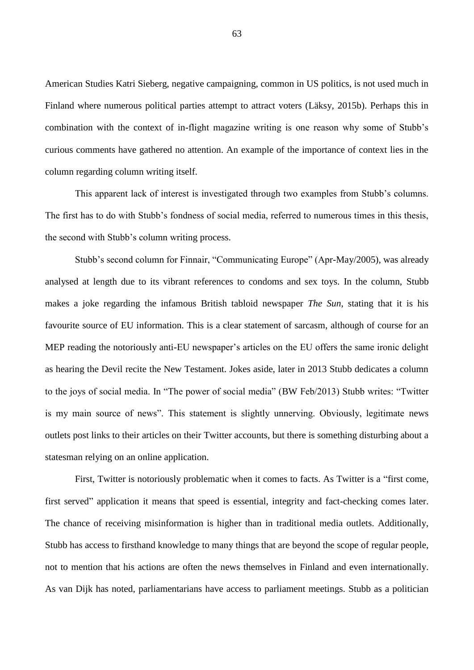American Studies Katri Sieberg, negative campaigning, common in US politics, is not used much in Finland where numerous political parties attempt to attract voters (Läksy, 2015b). Perhaps this in combination with the context of in-flight magazine writing is one reason why some of Stubb's curious comments have gathered no attention. An example of the importance of context lies in the column regarding column writing itself.

This apparent lack of interest is investigated through two examples from Stubb's columns. The first has to do with Stubb's fondness of social media, referred to numerous times in this thesis, the second with Stubb's column writing process.

Stubb's second column for Finnair, "Communicating Europe" (Apr-May/2005), was already analysed at length due to its vibrant references to condoms and sex toys. In the column, Stubb makes a joke regarding the infamous British tabloid newspaper *The Sun*, stating that it is his favourite source of EU information. This is a clear statement of sarcasm, although of course for an MEP reading the notoriously anti-EU newspaper's articles on the EU offers the same ironic delight as hearing the Devil recite the New Testament. Jokes aside, later in 2013 Stubb dedicates a column to the joys of social media. In "The power of social media" (BW Feb/2013) Stubb writes: "Twitter is my main source of news". This statement is slightly unnerving. Obviously, legitimate news outlets post links to their articles on their Twitter accounts, but there is something disturbing about a statesman relying on an online application.

First, Twitter is notoriously problematic when it comes to facts. As Twitter is a "first come, first served" application it means that speed is essential, integrity and fact-checking comes later. The chance of receiving misinformation is higher than in traditional media outlets. Additionally, Stubb has access to firsthand knowledge to many things that are beyond the scope of regular people, not to mention that his actions are often the news themselves in Finland and even internationally. As van Dijk has noted, parliamentarians have access to parliament meetings. Stubb as a politician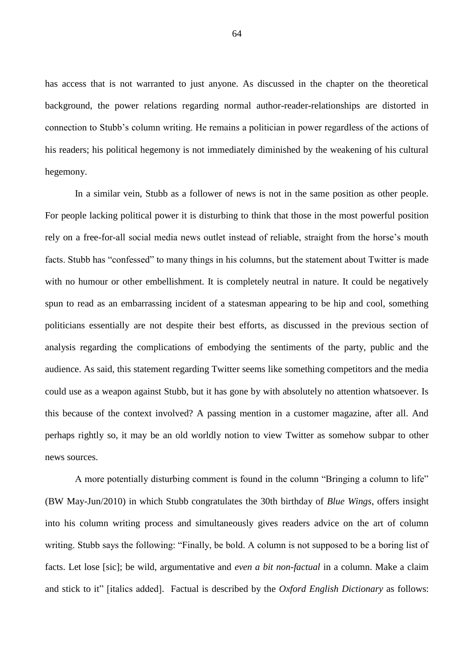has access that is not warranted to just anyone. As discussed in the chapter on the theoretical background, the power relations regarding normal author-reader-relationships are distorted in connection to Stubb's column writing. He remains a politician in power regardless of the actions of his readers; his political hegemony is not immediately diminished by the weakening of his cultural hegemony.

In a similar vein, Stubb as a follower of news is not in the same position as other people. For people lacking political power it is disturbing to think that those in the most powerful position rely on a free-for-all social media news outlet instead of reliable, straight from the horse's mouth facts. Stubb has "confessed" to many things in his columns, but the statement about Twitter is made with no humour or other embellishment. It is completely neutral in nature. It could be negatively spun to read as an embarrassing incident of a statesman appearing to be hip and cool, something politicians essentially are not despite their best efforts, as discussed in the previous section of analysis regarding the complications of embodying the sentiments of the party, public and the audience. As said, this statement regarding Twitter seems like something competitors and the media could use as a weapon against Stubb, but it has gone by with absolutely no attention whatsoever. Is this because of the context involved? A passing mention in a customer magazine, after all. And perhaps rightly so, it may be an old worldly notion to view Twitter as somehow subpar to other news sources.

A more potentially disturbing comment is found in the column "Bringing a column to life" (BW May-Jun/2010) in which Stubb congratulates the 30th birthday of *Blue Wings*, offers insight into his column writing process and simultaneously gives readers advice on the art of column writing. Stubb says the following: "Finally, be bold. A column is not supposed to be a boring list of facts. Let lose [sic]; be wild, argumentative and *even a bit non-factual* in a column. Make a claim and stick to it" [italics added]. Factual is described by the *Oxford English Dictionary* as follows: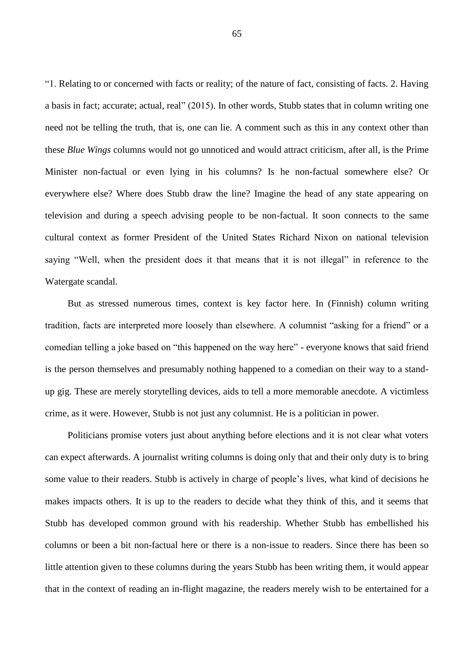"1. Relating to or concerned with facts or reality; of the nature of fact, consisting of facts. 2. Having a basis in fact; accurate; actual, real" (2015). In other words, Stubb states that in column writing one need not be telling the truth, that is, one can lie. A comment such as this in any context other than these *Blue Wings* columns would not go unnoticed and would attract criticism, after all, is the Prime Minister non-factual or even lying in his columns? Is he non-factual somewhere else? Or everywhere else? Where does Stubb draw the line? Imagine the head of any state appearing on television and during a speech advising people to be non-factual. It soon connects to the same cultural context as former President of the United States Richard Nixon on national television saying "Well, when the president does it that means that it is not illegal" in reference to the Watergate scandal.

But as stressed numerous times, context is key factor here. In (Finnish) column writing tradition, facts are interpreted more loosely than elsewhere. A columnist "asking for a friend" or a comedian telling a joke based on "this happened on the way here" - everyone knows that said friend is the person themselves and presumably nothing happened to a comedian on their way to a standup gig. These are merely storytelling devices, aids to tell a more memorable anecdote. A victimless crime, as it were. However, Stubb is not just any columnist. He is a politician in power.

Politicians promise voters just about anything before elections and it is not clear what voters can expect afterwards. A journalist writing columns is doing only that and their only duty is to bring some value to their readers. Stubb is actively in charge of people's lives, what kind of decisions he makes impacts others. It is up to the readers to decide what they think of this, and it seems that Stubb has developed common ground with his readership. Whether Stubb has embellished his columns or been a bit non-factual here or there is a non-issue to readers. Since there has been so little attention given to these columns during the years Stubb has been writing them, it would appear that in the context of reading an in-flight magazine, the readers merely wish to be entertained for a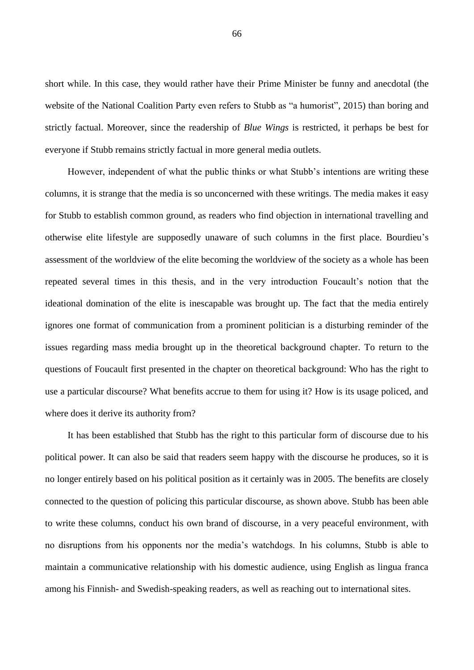short while. In this case, they would rather have their Prime Minister be funny and anecdotal (the website of the National Coalition Party even refers to Stubb as "a humorist", 2015) than boring and strictly factual. Moreover, since the readership of *Blue Wings* is restricted, it perhaps be best for everyone if Stubb remains strictly factual in more general media outlets.

However, independent of what the public thinks or what Stubb's intentions are writing these columns, it is strange that the media is so unconcerned with these writings. The media makes it easy for Stubb to establish common ground, as readers who find objection in international travelling and otherwise elite lifestyle are supposedly unaware of such columns in the first place. Bourdieu's assessment of the worldview of the elite becoming the worldview of the society as a whole has been repeated several times in this thesis, and in the very introduction Foucault's notion that the ideational domination of the elite is inescapable was brought up. The fact that the media entirely ignores one format of communication from a prominent politician is a disturbing reminder of the issues regarding mass media brought up in the theoretical background chapter. To return to the questions of Foucault first presented in the chapter on theoretical background: Who has the right to use a particular discourse? What benefits accrue to them for using it? How is its usage policed, and where does it derive its authority from?

It has been established that Stubb has the right to this particular form of discourse due to his political power. It can also be said that readers seem happy with the discourse he produces, so it is no longer entirely based on his political position as it certainly was in 2005. The benefits are closely connected to the question of policing this particular discourse, as shown above. Stubb has been able to write these columns, conduct his own brand of discourse, in a very peaceful environment, with no disruptions from his opponents nor the media's watchdogs. In his columns, Stubb is able to maintain a communicative relationship with his domestic audience, using English as lingua franca among his Finnish- and Swedish-speaking readers, as well as reaching out to international sites.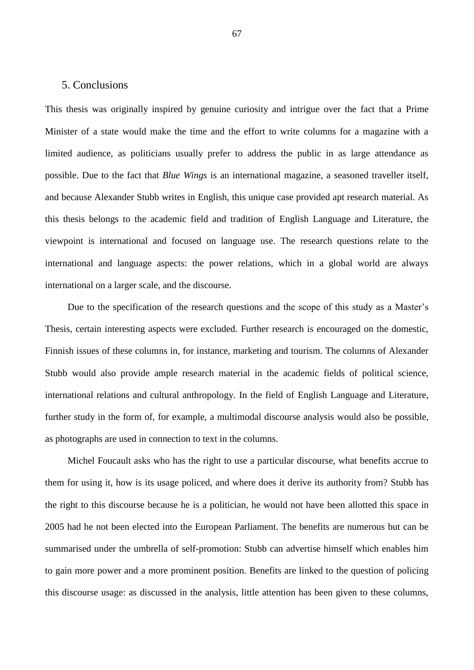## 5. Conclusions

This thesis was originally inspired by genuine curiosity and intrigue over the fact that a Prime Minister of a state would make the time and the effort to write columns for a magazine with a limited audience, as politicians usually prefer to address the public in as large attendance as possible. Due to the fact that *Blue Wings* is an international magazine, a seasoned traveller itself, and because Alexander Stubb writes in English, this unique case provided apt research material. As this thesis belongs to the academic field and tradition of English Language and Literature, the viewpoint is international and focused on language use. The research questions relate to the international and language aspects: the power relations, which in a global world are always international on a larger scale, and the discourse.

Due to the specification of the research questions and the scope of this study as a Master's Thesis, certain interesting aspects were excluded. Further research is encouraged on the domestic, Finnish issues of these columns in, for instance, marketing and tourism. The columns of Alexander Stubb would also provide ample research material in the academic fields of political science, international relations and cultural anthropology. In the field of English Language and Literature, further study in the form of, for example, a multimodal discourse analysis would also be possible, as photographs are used in connection to text in the columns.

Michel Foucault asks who has the right to use a particular discourse, what benefits accrue to them for using it, how is its usage policed, and where does it derive its authority from? Stubb has the right to this discourse because he is a politician, he would not have been allotted this space in 2005 had he not been elected into the European Parliament. The benefits are numerous but can be summarised under the umbrella of self-promotion: Stubb can advertise himself which enables him to gain more power and a more prominent position. Benefits are linked to the question of policing this discourse usage: as discussed in the analysis, little attention has been given to these columns,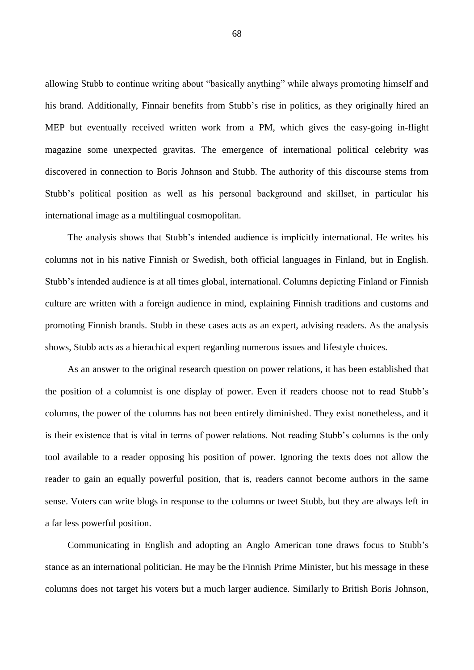allowing Stubb to continue writing about "basically anything" while always promoting himself and his brand. Additionally, Finnair benefits from Stubb's rise in politics, as they originally hired an MEP but eventually received written work from a PM, which gives the easy-going in-flight magazine some unexpected gravitas. The emergence of international political celebrity was discovered in connection to Boris Johnson and Stubb. The authority of this discourse stems from Stubb's political position as well as his personal background and skillset, in particular his international image as a multilingual cosmopolitan.

The analysis shows that Stubb's intended audience is implicitly international. He writes his columns not in his native Finnish or Swedish, both official languages in Finland, but in English. Stubb's intended audience is at all times global, international. Columns depicting Finland or Finnish culture are written with a foreign audience in mind, explaining Finnish traditions and customs and promoting Finnish brands. Stubb in these cases acts as an expert, advising readers. As the analysis shows, Stubb acts as a hierachical expert regarding numerous issues and lifestyle choices.

As an answer to the original research question on power relations, it has been established that the position of a columnist is one display of power. Even if readers choose not to read Stubb's columns, the power of the columns has not been entirely diminished. They exist nonetheless, and it is their existence that is vital in terms of power relations. Not reading Stubb's columns is the only tool available to a reader opposing his position of power. Ignoring the texts does not allow the reader to gain an equally powerful position, that is, readers cannot become authors in the same sense. Voters can write blogs in response to the columns or tweet Stubb, but they are always left in a far less powerful position.

Communicating in English and adopting an Anglo American tone draws focus to Stubb's stance as an international politician. He may be the Finnish Prime Minister, but his message in these columns does not target his voters but a much larger audience. Similarly to British Boris Johnson,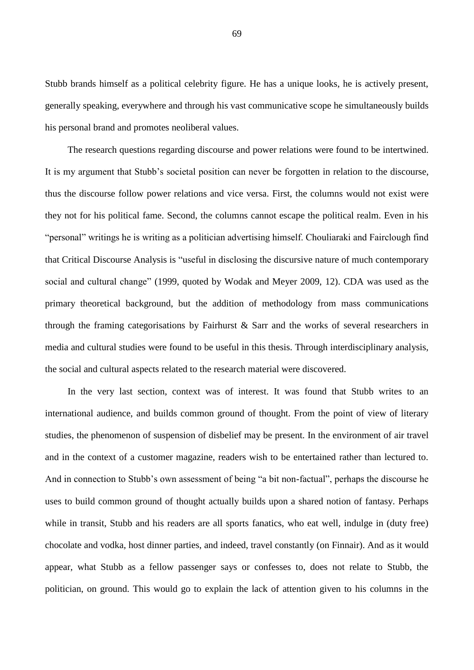Stubb brands himself as a political celebrity figure. He has a unique looks, he is actively present, generally speaking, everywhere and through his vast communicative scope he simultaneously builds his personal brand and promotes neoliberal values.

The research questions regarding discourse and power relations were found to be intertwined. It is my argument that Stubb's societal position can never be forgotten in relation to the discourse, thus the discourse follow power relations and vice versa. First, the columns would not exist were they not for his political fame. Second, the columns cannot escape the political realm. Even in his "personal" writings he is writing as a politician advertising himself. Chouliaraki and Fairclough find that Critical Discourse Analysis is "useful in disclosing the discursive nature of much contemporary social and cultural change" (1999, quoted by Wodak and Meyer 2009, 12). CDA was used as the primary theoretical background, but the addition of methodology from mass communications through the framing categorisations by Fairhurst & Sarr and the works of several researchers in media and cultural studies were found to be useful in this thesis. Through interdisciplinary analysis, the social and cultural aspects related to the research material were discovered.

In the very last section, context was of interest. It was found that Stubb writes to an international audience, and builds common ground of thought. From the point of view of literary studies, the phenomenon of suspension of disbelief may be present. In the environment of air travel and in the context of a customer magazine, readers wish to be entertained rather than lectured to. And in connection to Stubb's own assessment of being "a bit non-factual", perhaps the discourse he uses to build common ground of thought actually builds upon a shared notion of fantasy. Perhaps while in transit, Stubb and his readers are all sports fanatics, who eat well, indulge in (duty free) chocolate and vodka, host dinner parties, and indeed, travel constantly (on Finnair). And as it would appear, what Stubb as a fellow passenger says or confesses to, does not relate to Stubb, the politician, on ground. This would go to explain the lack of attention given to his columns in the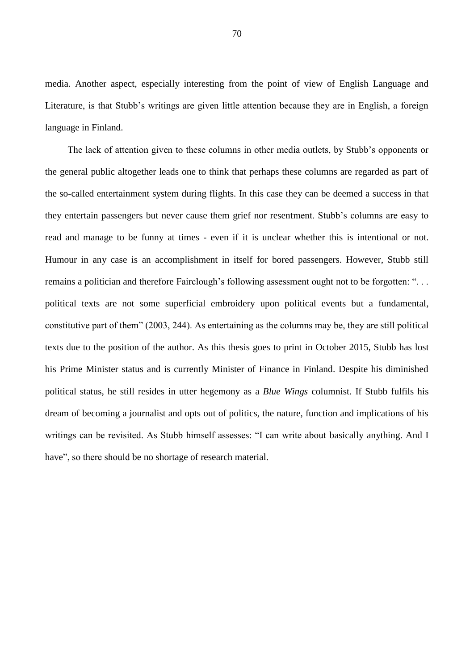media. Another aspect, especially interesting from the point of view of English Language and Literature, is that Stubb's writings are given little attention because they are in English, a foreign language in Finland.

The lack of attention given to these columns in other media outlets, by Stubb's opponents or the general public altogether leads one to think that perhaps these columns are regarded as part of the so-called entertainment system during flights. In this case they can be deemed a success in that they entertain passengers but never cause them grief nor resentment. Stubb's columns are easy to read and manage to be funny at times - even if it is unclear whether this is intentional or not. Humour in any case is an accomplishment in itself for bored passengers. However, Stubb still remains a politician and therefore Fairclough's following assessment ought not to be forgotten: ". . . political texts are not some superficial embroidery upon political events but a fundamental, constitutive part of them" (2003, 244). As entertaining as the columns may be, they are still political texts due to the position of the author. As this thesis goes to print in October 2015, Stubb has lost his Prime Minister status and is currently Minister of Finance in Finland. Despite his diminished political status, he still resides in utter hegemony as a *Blue Wings* columnist. If Stubb fulfils his dream of becoming a journalist and opts out of politics, the nature, function and implications of his writings can be revisited. As Stubb himself assesses: "I can write about basically anything. And I have", so there should be no shortage of research material.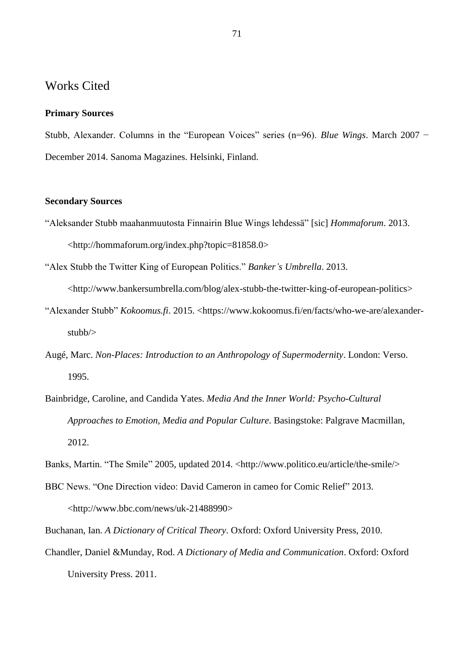## Works Cited

## **Primary Sources**

Stubb, Alexander. Columns in the "European Voices" series (n=96). *Blue Wings*. March 2007 − December 2014. Sanoma Magazines. Helsinki, Finland.

## **Secondary Sources**

- "Aleksander Stubb maahanmuutosta Finnairin Blue Wings lehdessä" [sic] *Hommaforum*. 2013. <http://hommaforum.org/index.php?topic=81858.0>
- "Alex Stubb the Twitter King of European Politics." *Banker's Umbrella*. 2013.

[<http://www.bankersumbrella.com/blog/alex-stubb-the-twitter-king-of-european-politics>](http://www.bankersumbrella.com/blog/alex-stubb-the-twitter-king-of-european-politics)

- "Alexander Stubb" *Kokoomus.fi*. 2015. <https://www.kokoomus.fi/en/facts/who-we-are/alexanderstubb/>
- Augé, Marc. *Non-Places: Introduction to an Anthropology of Supermodernity*. London: Verso. 1995.
- Bainbridge, Caroline, and Candida Yates. *Media And the Inner World: Psycho-Cultural Approaches to Emotion, Media and Popular Culture*. Basingstoke: Palgrave Macmillan, 2012.
- Banks, Martin. "The Smile" 2005, updated 2014. <http://www.politico.eu/article/the-smile/>
- BBC News. "One Direction video: David Cameron in cameo for Comic Relief" 2013. <http://www.bbc.com/news/uk-21488990>
- Buchanan, Ian. *A Dictionary of Critical Theory*. Oxford: Oxford University Press, 2010.
- Chandler, Daniel &Munday, Rod. *A Dictionary of Media and Communication*. Oxford: Oxford University Press. 2011.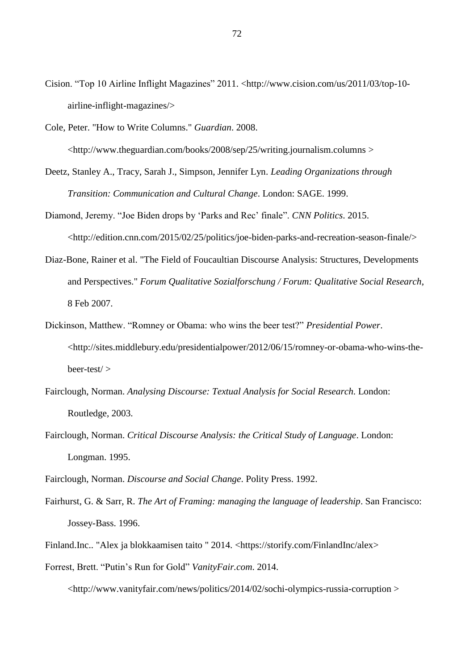- Cision. "Top 10 Airline Inflight Magazines" 2011. <http://www.cision.com/us/2011/03/top-10 airline-inflight-magazines/>
- Cole, Peter. "How to Write Columns." *Guardian*. 2008. <http://www.theguardian.com/books/2008/sep/25/writing.journalism.columns >
- Deetz, Stanley A., Tracy, Sarah J., Simpson, Jennifer Lyn. *Leading Organizations through Transition: Communication and Cultural Change*. London: SAGE. 1999.
- Diamond, Jeremy. "Joe Biden drops by 'Parks and Rec' finale". *CNN Politics*. 2015. <http://edition.cnn.com/2015/02/25/politics/joe-biden-parks-and-recreation-season-finale/>
- Diaz-Bone, Rainer et al. "The Field of Foucaultian Discourse Analysis: Structures, Developments and Perspectives." *Forum Qualitative Sozialforschung / Forum: Qualitative Social Research*, 8 Feb 2007.
- Dickinson, Matthew. "Romney or Obama: who wins the beer test?" *Presidential Power*. <http://sites.middlebury.edu/presidentialpower/2012/06/15/romney-or-obama-who-wins-thebeer-test/ >
- Fairclough, Norman. *Analysing Discourse: Textual Analysis for Social Research*. London: Routledge, 2003.
- Fairclough, Norman. *Critical Discourse Analysis: the Critical Study of Language*. London: Longman. 1995.
- Fairclough, Norman. *Discourse and Social Change*. Polity Press. 1992.
- Fairhurst, G. & Sarr, R. *The Art of Framing: managing the language of leadership*. San Francisco: Jossey-Bass. 1996.
- Finland.Inc.. "Alex ja blokkaamisen taito " 2014. <https://storify.com/FinlandInc/alex>
- Forrest, Brett. "Putin's Run for Gold" *VanityFair.com*. 2014. <http://www.vanityfair.com/news/politics/2014/02/sochi-olympics-russia-corruption >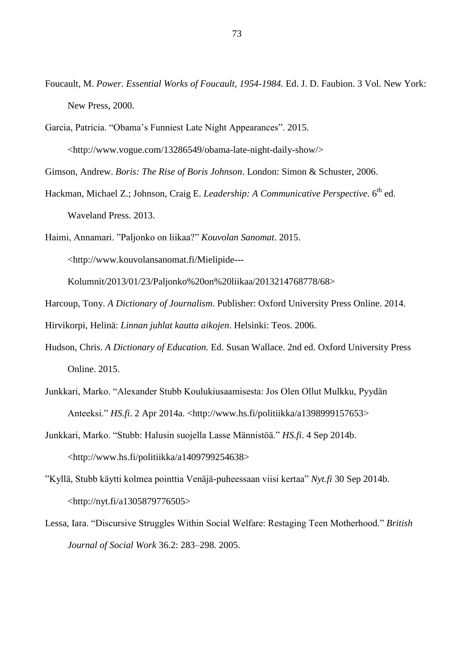- Foucault, M. *Power. Essential Works of Foucault, 1954-1984.* Ed. J. D. Faubion. 3 Vol. New York: New Press, 2000.
- Garcia, Patricia. "Obama's Funniest Late Night Appearances". 2015.

<http://www.vogue.com/13286549/obama-late-night-daily-show/>

Gimson, Andrew. *Boris: The Rise of Boris Johnson*. London: Simon & Schuster, 2006.

Hackman, Michael Z.; Johnson, Craig E. *Leadership: A Communicative Perspective*. 6 th ed. Waveland Press. 2013.

Haimi, Annamari. "Paljonko on liikaa?" *Kouvolan Sanomat*. 2015.

<http://www.kouvolansanomat.fi/Mielipide---

Kolumnit/2013/01/23/Paljonko%20on%20liikaa/2013214768778/68>

Harcoup, Tony. *[A Dictionary of Journalism](http://helios.uta.fi:2485/view/10.1093/acref/9780199646241.001.0001/acref-9780199646241)*. Publisher: Oxford University Press Online. 2014.

Hirvikorpi, Helinä: *Linnan juhlat kautta aikojen*. Helsinki: Teos. 2006.

- Hudson, Chris. *A Dictionary of Education.* Ed. Susan Wallace. 2nd ed. Oxford University Press Online. 2015.
- Junkkari, Marko. "Alexander Stubb Koulukiusaamisesta: Jos Olen Ollut Mulkku, Pyydän Anteeksi." *HS.fi*. 2 Apr 2014a. <http://www.hs.fi/politiikka/a1398999157653>
- Junkkari, Marko. "Stubb: Halusin suojella Lasse Männistöä." *HS.fi*. 4 Sep 2014b. <http://www.hs.fi/politiikka/a1409799254638>
- "Kyllä, Stubb käytti kolmea pointtia Venäjä-puheessaan viisi kertaa" *Nyt.fi* 30 Sep 2014b. <http://nyt.fi/a1305879776505>
- Lessa, Iara. "Discursive Struggles Within Social Welfare: Restaging Teen Motherhood." *British Journal of Social Work* 36.2: 283–298. 2005.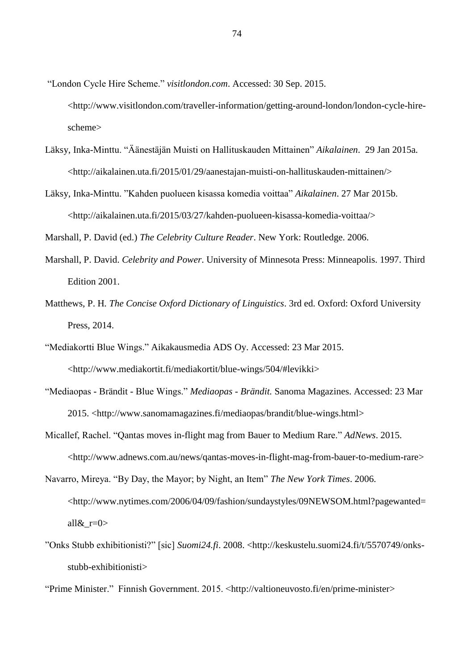- "London Cycle Hire Scheme." *visitlondon.com*. Accessed: 30 Sep. 2015. <http://www.visitlondon.com/traveller-information/getting-around-london/london-cycle-hirescheme>
- Läksy, Inka-Minttu. "Äänestäjän Muisti on Hallituskauden Mittainen" *Aikalainen*. 29 Jan 2015a. <http://aikalainen.uta.fi/2015/01/29/aanestajan-muisti-on-hallituskauden-mittainen/>
- Läksy, Inka-Minttu. "Kahden puolueen kisassa komedia voittaa" *Aikalainen*. 27 Mar 2015b. <http://aikalainen.uta.fi/2015/03/27/kahden-puolueen-kisassa-komedia-voittaa/>

Marshall, P. David (ed.) *The Celebrity Culture Reader*. New York: Routledge. 2006.

- Marshall, P. David. *Celebrity and Power*. University of Minnesota Press: Minneapolis. 1997. Third Edition 2001.
- Matthews, P. H*. The Concise Oxford Dictionary of Linguistics*. 3rd ed. Oxford: Oxford University Press, 2014.
- "Mediakortti Blue Wings." Aikakausmedia ADS Oy. Accessed: 23 Mar 2015. <http://www.mediakortit.fi/mediakortit/blue-wings/504/#levikki>
- "Mediaopas Brändit Blue Wings." *Mediaopas - Brändit.* Sanoma Magazines. Accessed: 23 Mar 2015. [<http://www.sanomamagazines.fi/mediaopas/brandit/blue-wings.html>](http://www.sanomamagazines.fi/mediaopas/brandit/blue-wings.html)
- Micallef, Rachel. "Qantas moves in-flight mag from Bauer to Medium Rare." *AdNews*. 2015. <http://www.adnews.com.au/news/qantas-moves-in-flight-mag-from-bauer-to-medium-rare>
- Navarro, Mireya. "By Day, the Mayor; by Night, an Item" *The New York Times*. 2006. <http://www.nytimes.com/2006/04/09/fashion/sundaystyles/09NEWSOM.html?pagewanted= all $&r=0>$
- "Onks Stubb exhibitionisti?" [sic] *Suomi24.fi*. 2008. <http://keskustelu.suomi24.fi/t/5570749/onksstubb-exhibitionisti>

"Prime Minister." Finnish Government. 2015. [<http://valtioneuvosto.fi/en/prime-minister>](http://valtioneuvosto.fi/en/prime-minister)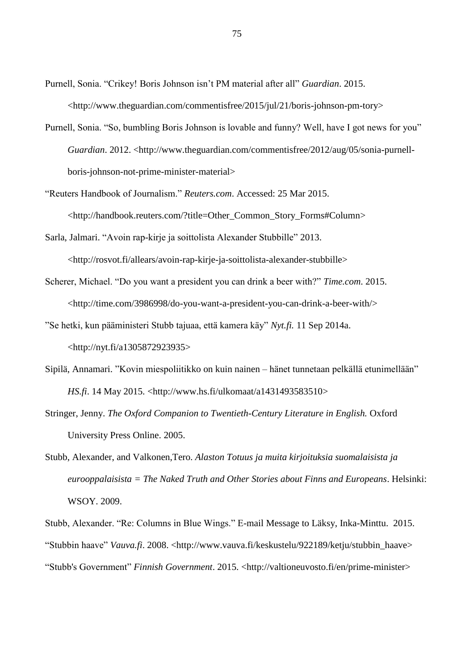- Purnell, Sonia. "Crikey! Boris Johnson isn't PM material after all" *Guardian*. 2015. <http://www.theguardian.com/commentisfree/2015/jul/21/boris-johnson-pm-tory>
- Purnell, Sonia. "So, bumbling Boris Johnson is lovable and funny? Well, have I got news for you" *Guardian.* 2012. <http://www.theguardian.com/commentisfree/2012/aug/05/sonia-purnellboris-johnson-not-prime-minister-material>
- "Reuters Handbook of Journalism." *Reuters.com*. Accessed: 25 Mar 2015. [<http://handbook.reuters.com/?title=Other\\_Common\\_Story\\_Forms#Column>](http://handbook.reuters.com/?title=Other_Common_Story_Forms#Column)
- Sarla, Jalmari. "Avoin rap-kirje ja soittolista Alexander Stubbille" 2013.

<http://rosvot.fi/allears/avoin-rap-kirje-ja-soittolista-alexander-stubbille>

- Scherer, Michael. "Do you want a president you can drink a beer with?" *Time.com*. 2015. <http://time.com/3986998/do-you-want-a-president-you-can-drink-a-beer-with/>
- "Se hetki, kun pääministeri Stubb tajuaa, että kamera käy" *Nyt.fi.* 11 Sep 2014a.

<http://nyt.fi/a1305872923935>

- Sipilä, Annamari. "Kovin miespoliitikko on kuin nainen hänet tunnetaan pelkällä etunimellään" *HS.fi*. 14 May 2015. <http://www.hs.fi/ulkomaat/a1431493583510>
- Stringer, Jenny. *The Oxford Companion to Twentieth-Century Literature in English.* Oxford University Press Online. 2005.
- Stubb, Alexander, and Valkonen,Tero. *Alaston Totuus ja muita kirjoituksia suomalaisista ja eurooppalaisista = The Naked Truth and Other Stories about Finns and Europeans*. Helsinki: WSOY. 2009.

Stubb, Alexander. "Re: Columns in Blue Wings." E-mail Message to Läksy, Inka-Minttu. 2015. "Stubbin haave" *Vauva.fi*. 2008. <http://www.vauva.fi/keskustelu/922189/ketju/stubbin\_haave> "Stubb's Government" *Finnish Government*. 2015. [<http://valtioneuvosto.fi/en/prime-minister>](http://valtioneuvosto.fi/en/prime-minister)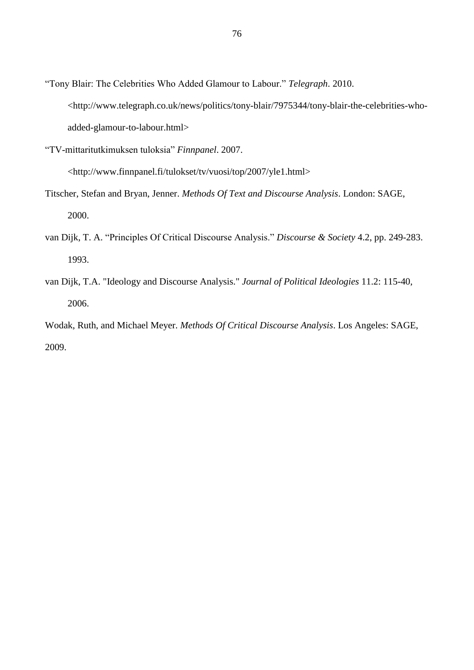- "Tony Blair: The Celebrities Who Added Glamour to Labour." *Telegraph*. 2010. <http://www.telegraph.co.uk/news/politics/tony-blair/7975344/tony-blair-the-celebrities-whoadded-glamour-to-labour.html>
- "TV-mittaritutkimuksen tuloksia" *Finnpanel*. 2007.

<http://www.finnpanel.fi/tulokset/tv/vuosi/top/2007/yle1.html>

- Titscher, Stefan and Bryan, Jenner. *Methods Of Text and Discourse Analysis*. London: SAGE, 2000.
- van Dijk, T. A. "Principles Of Critical Discourse Analysis." *Discourse & Society* 4.2, pp. 249-283. 1993.
- van Dijk, T.A. "Ideology and Discourse Analysis." *Journal of Political Ideologies* 11.2: 115-40, 2006.

Wodak, Ruth, and Michael Meyer. *Methods Of Critical Discourse Analysis*. Los Angeles: SAGE, 2009.